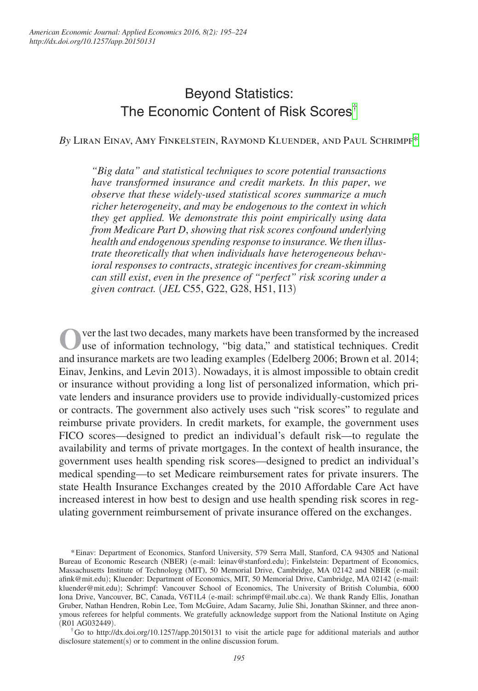# Beyond Statistics: The Economic Content of Risk Scores<sup>[†](#page-0-0)</sup>

*By* Liran Einav, Amy Finkelstein, Raymond Kluender, and Paul Schrimpf\*

*"Big data" and statistical techniques to score potential transactions have transformed insurance and credit markets. In this paper*, *we observe that these widely-used statistical scores summarize a much richer heterogeneity*, *and may be endogenous to the context in which they get applied. We demonstrate this point empirically using data from Medicare Part D*, *showing that risk scores confound underlying health and endogenous spending response to insurance. We then illustrate theoretically that when individuals have heterogeneous behavioral responses to contracts*, *strategic incentives for cream-skimming can still exist*, *even in the presence of "perfect" risk scoring under a given contract.* (*JEL* C55, G22, G28, H51, I13)

**O**ver the last two decades, many markets have been transformed by the increased use of information technology, "big data," and statistical techniques. Credit and insurance markets are two leading examples (Edelberg 2006; Brown et al. 2014; Einav, Jenkins, and Levin 2013). Nowadays, it is almost impossible to obtain credit or insurance without providing a long list of personalized information, which private lenders and insurance providers use to provide individually-customized prices or contracts. The government also actively uses such "risk scores" to regulate and reimburse private providers. In credit markets, for example, the government uses FICO scores—designed to predict an individual's default risk—to regulate the availability and terms of private mortgages. In the context of health insurance, the government uses health spending risk scores—designed to predict an individual's medical spending—to set Medicare reimbursement rates for private insurers. The state Health Insurance Exchanges created by the 2010 Affordable Care Act have increased interest in how best to design and use health spending risk scores in regulating government reimbursement of private insurance offered on the exchanges.

<sup>\*</sup>Einav: Department of Economics, Stanford University, 579 Serra Mall, Stanford, CA 94305 and National Bureau of Economic Research (NBER) (e-mail: leinav@stanford.edu); Finkelstein: Department of Economics, Massachusetts Institute of Technoloyg (MIT), 50 Memorial Drive, Cambridge, MA 02142 and NBER (e-mail: afink@mit.edu); Kluender: Department of Economics, MIT, 50 Memorial Drive, Cambridge, MA 02142 (e-mail: kluender@mit.edu); Schrimpf: Vancouver School of Economics, The University of British Columbia, 6000 Iona Drive, Vancouver, BC, Canada, V6T1L4 (e-mail: schrimpf@mail.ubc.ca). We thank Randy Ellis, Jonathan Gruber, Nathan Hendren, Robin Lee, Tom McGuire, Adam Sacarny, Julie Shi, Jonathan Skinner, and three anonymous referees for helpful comments. We gratefully acknowledge support from the National Institute on Aging (R01 AG032449).<br><sup>†</sup>Go to http://dx.doi.org/10.1257/app.20150131 to visit the article page for additional materials and author

<span id="page-0-0"></span>disclosure statement(s) or to comment in the online discussion forum.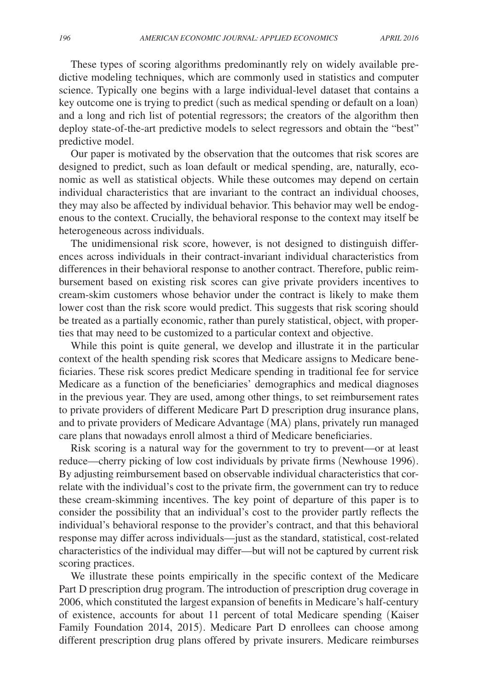These types of scoring algorithms predominantly rely on widely available predictive modeling techniques, which are commonly used in statistics and computer science. Typically one begins with a large individual-level dataset that contains a key outcome one is trying to predict (such as medical spending or default on a loan) and a long and rich list of potential regressors; the creators of the algorithm then deploy state-of-the-art predictive models to select regressors and obtain the "best" predictive model.

Our paper is motivated by the observation that the outcomes that risk scores are designed to predict, such as loan default or medical spending, are, naturally, economic as well as statistical objects. While these outcomes may depend on certain individual characteristics that are invariant to the contract an individual chooses, they may also be affected by individual behavior. This behavior may well be endogenous to the context. Crucially, the behavioral response to the context may itself be heterogeneous across individuals.

The unidimensional risk score, however, is not designed to distinguish differences across individuals in their contract-invariant individual characteristics from differences in their behavioral response to another contract. Therefore, public reimbursement based on existing risk scores can give private providers incentives to cream-skim customers whose behavior under the contract is likely to make them lower cost than the risk score would predict. This suggests that risk scoring should be treated as a partially economic, rather than purely statistical, object, with properties that may need to be customized to a particular context and objective.

While this point is quite general, we develop and illustrate it in the particular context of the health spending risk scores that Medicare assigns to Medicare beneficiaries. These risk scores predict Medicare spending in traditional fee for service Medicare as a function of the beneficiaries' demographics and medical diagnoses in the previous year. They are used, among other things, to set reimbursement rates to private providers of different Medicare Part D prescription drug insurance plans, and to private providers of Medicare Advantage (MA) plans, privately run managed care plans that nowadays enroll almost a third of Medicare beneficiaries.

Risk scoring is a natural way for the government to try to prevent—or at least reduce—cherry picking of low cost individuals by private firms (Newhouse 1996). By adjusting reimbursement based on observable individual characteristics that correlate with the individual's cost to the private firm, the government can try to reduce these cream-skimming incentives. The key point of departure of this paper is to consider the possibility that an individual's cost to the provider partly reflects the individual's behavioral response to the provider's contract, and that this behavioral response may differ across individuals—just as the standard, statistical, cost-related characteristics of the individual may differ—but will not be captured by current risk scoring practices.

We illustrate these points empirically in the specific context of the Medicare Part D prescription drug program. The introduction of prescription drug coverage in 2006, which constituted the largest expansion of benefits in Medicare's half-century of existence, accounts for about 11 percent of total Medicare spending (Kaiser Family Foundation 2014, 2015). Medicare Part D enrollees can choose among different prescription drug plans offered by private insurers. Medicare reimburses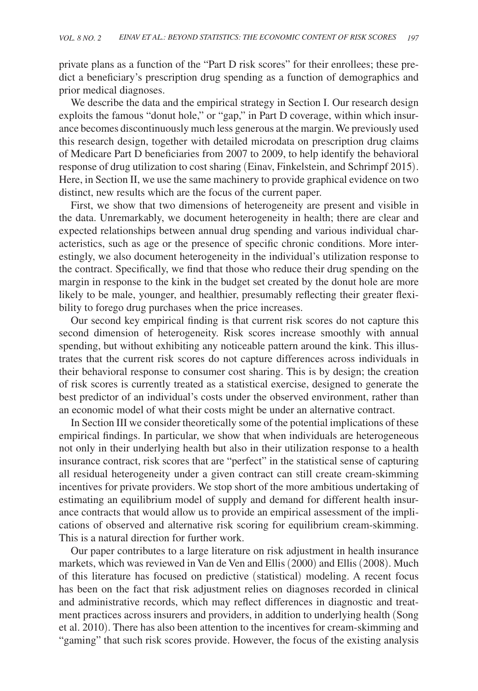private plans as a function of the "Part D risk scores" for their enrollees; these predict a beneficiary's prescription drug spending as a function of demographics and prior medical diagnoses.

We describe the data and the empirical strategy in Section I. Our research design exploits the famous "donut hole," or "gap," in Part D coverage, within which insurance becomes discontinuously much less generous at the margin. We previously used this research design, together with detailed microdata on prescription drug claims of Medicare Part D beneficiaries from 2007 to 2009, to help identify the behavioral response of drug utilization to cost sharing (Einav, Finkelstein, and Schrimpf 2015). Here, in Section II, we use the same machinery to provide graphical evidence on two distinct, new results which are the focus of the current paper.

First, we show that two dimensions of heterogeneity are present and visible in the data. Unremarkably, we document heterogeneity in health; there are clear and expected relationships between annual drug spending and various individual characteristics, such as age or the presence of specific chronic conditions. More interestingly, we also document heterogeneity in the individual's utilization response to the contract. Specifically, we find that those who reduce their drug spending on the margin in response to the kink in the budget set created by the donut hole are more likely to be male, younger, and healthier, presumably reflecting their greater flexibility to forego drug purchases when the price increases.

Our second key empirical finding is that current risk scores do not capture this second dimension of heterogeneity. Risk scores increase smoothly with annual spending, but without exhibiting any noticeable pattern around the kink. This illustrates that the current risk scores do not capture differences across individuals in their behavioral response to consumer cost sharing. This is by design; the creation of risk scores is currently treated as a statistical exercise, designed to generate the best predictor of an individual's costs under the observed environment, rather than an economic model of what their costs might be under an alternative contract.

In Section III we consider theoretically some of the potential implications of these empirical findings. In particular, we show that when individuals are heterogeneous not only in their underlying health but also in their utilization response to a health insurance contract, risk scores that are "perfect" in the statistical sense of capturing all residual heterogeneity under a given contract can still create cream-skimming incentives for private providers. We stop short of the more ambitious undertaking of estimating an equilibrium model of supply and demand for different health insurance contracts that would allow us to provide an empirical assessment of the implications of observed and alternative risk scoring for equilibrium cream-skimming. This is a natural direction for further work.

Our paper contributes to a large literature on risk adjustment in health insurance markets, which was reviewed in Van de Ven and Ellis (2000) and Ellis (2008). Much of this literature has focused on predictive (statistical) modeling. A recent focus has been on the fact that risk adjustment relies on diagnoses recorded in clinical and administrative records, which may reflect differences in diagnostic and treatment practices across insurers and providers, in addition to underlying health (Song et al. 2010). There has also been attention to the incentives for cream-skimming and "gaming" that such risk scores provide. However, the focus of the existing analysis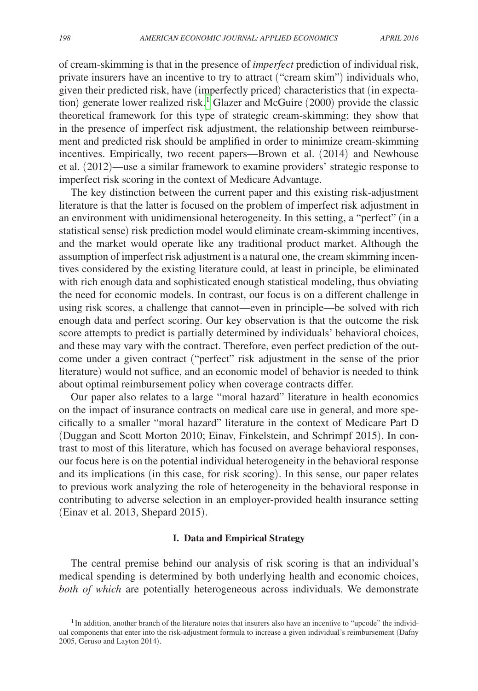of cream-skimming is that in the presence of *imperfect* prediction of individual risk, private insurers have an incentive to try to attract ("cream skim") individuals who, given their predicted risk, have (imperfectly priced) characteristics that (in expectation) generate lower realized risk.<sup>1</sup> Glazer and McGuire (2000) provide the classic theoretical framework for this type of strategic cream-skimming; they show that in the presence of imperfect risk adjustment, the relationship between reimbursement and predicted risk should be amplified in order to minimize cream-skimming incentives. Empirically, two recent papers—Brown et al. (2014) and Newhouse et al. (2012)—use a similar framework to examine providers' strategic response to imperfect risk scoring in the context of Medicare Advantage.

The key distinction between the current paper and this existing risk-adjustment literature is that the latter is focused on the problem of imperfect risk adjustment in an environment with unidimensional heterogeneity. In this setting, a "perfect" (in a statistical sense) risk prediction model would eliminate cream-skimming incentives, and the market would operate like any traditional product market. Although the assumption of imperfect risk adjustment is a natural one, the cream skimming incentives considered by the existing literature could, at least in principle, be eliminated with rich enough data and sophisticated enough statistical modeling, thus obviating the need for economic models. In contrast, our focus is on a different challenge in using risk scores, a challenge that cannot—even in principle—be solved with rich enough data and perfect scoring. Our key observation is that the outcome the risk score attempts to predict is partially determined by individuals' behavioral choices, and these may vary with the contract. Therefore, even perfect prediction of the outcome under a given contract ("perfect" risk adjustment in the sense of the prior literature) would not suffice, and an economic model of behavior is needed to think about optimal reimbursement policy when coverage contracts differ.

Our paper also relates to a large "moral hazard" literature in health economics on the impact of insurance contracts on medical care use in general, and more specifically to a smaller "moral hazard" literature in the context of Medicare Part D (Duggan and Scott Morton 2010; Einav, Finkelstein, and Schrimpf 2015). In contrast to most of this literature, which has focused on average behavioral responses, our focus here is on the potential individual heterogeneity in the behavioral response and its implications (in this case, for risk scoring). In this sense, our paper relates to previous work analyzing the role of heterogeneity in the behavioral response in contributing to adverse selection in an employer-provided health insurance setting (Einav et al. 2013, Shepard 2015).

#### **I. Data and Empirical Strategy**

The central premise behind our analysis of risk scoring is that an individual's medical spending is determined by both underlying health and economic choices, *both of which* are potentially heterogeneous across individuals. We demonstrate

<span id="page-3-0"></span><sup>&</sup>lt;sup>1</sup>In addition, another branch of the literature notes that insurers also have an incentive to "upcode" the individual components that enter into the risk-adjustment formula to increase a given individual's reimbursement (Dafny 2005, Geruso and Layton 2014).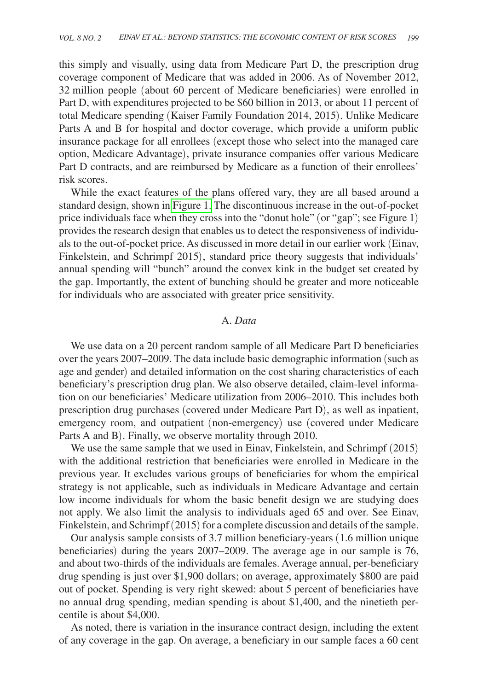this simply and visually, using data from Medicare Part D, the prescription drug coverage component of Medicare that was added in 2006. As of November 2012, 32 million people (about 60 percent of Medicare beneficiaries) were enrolled in Part D, with expenditures projected to be \$60 billion in 2013, or about 11 percent of total Medicare spending (Kaiser Family Foundation 2014, 2015). Unlike Medicare Parts A and B for hospital and doctor coverage, which provide a uniform public insurance package for all enrollees (except those who select into the managed care option, Medicare Advantage), private insurance companies offer various Medicare Part D contracts, and are reimbursed by Medicare as a function of their enrollees' risk scores.

While the exact features of the plans offered vary, they are all based around a standard design, shown in [Figure 1.](#page-5-0) The discontinuous increase in the out-of-pocket price individuals face when they cross into the "donut hole" (or "gap"; see Figure 1) provides the research design that enables us to detect the responsiveness of individuals to the out-of-pocket price. As discussed in more detail in our earlier work (Einav, Finkelstein, and Schrimpf 2015), standard price theory suggests that individuals' annual spending will "bunch" around the convex kink in the budget set created by the gap. Importantly, the extent of bunching should be greater and more noticeable for individuals who are associated with greater price sensitivity.

#### A. *Data*

We use data on a 20 percent random sample of all Medicare Part D beneficiaries over the years 2007–2009. The data include basic demographic information (such as age and gender) and detailed information on the cost sharing characteristics of each beneficiary's prescription drug plan. We also observe detailed, claim-level information on our beneficiaries' Medicare utilization from 2006–2010. This includes both prescription drug purchases (covered under Medicare Part D), as well as inpatient, emergency room, and outpatient (non-emergency) use (covered under Medicare Parts A and B). Finally, we observe mortality through 2010.

We use the same sample that we used in Einav, Finkelstein, and Schrimpf (2015) with the additional restriction that beneficiaries were enrolled in Medicare in the previous year. It excludes various groups of beneficiaries for whom the empirical strategy is not applicable, such as individuals in Medicare Advantage and certain low income individuals for whom the basic benefit design we are studying does not apply. We also limit the analysis to individuals aged 65 and over. See Einav, Finkelstein, and Schrimpf (2015) for a complete discussion and details of the sample.

Our analysis sample consists of 3.7 million beneficiary-years (1.6 million unique beneficiaries) during the years 2007–2009. The average age in our sample is 76, and about two-thirds of the individuals are females. Average annual, per-beneficiary drug spending is just over \$1,900 dollars; on average, approximately \$800 are paid out of pocket. Spending is very right skewed: about 5 percent of beneficiaries have no annual drug spending, median spending is about \$1,400, and the ninetieth percentile is about \$4,000.

As noted, there is variation in the insurance contract design, including the extent of any coverage in the gap. On average, a beneficiary in our sample faces a 60 cent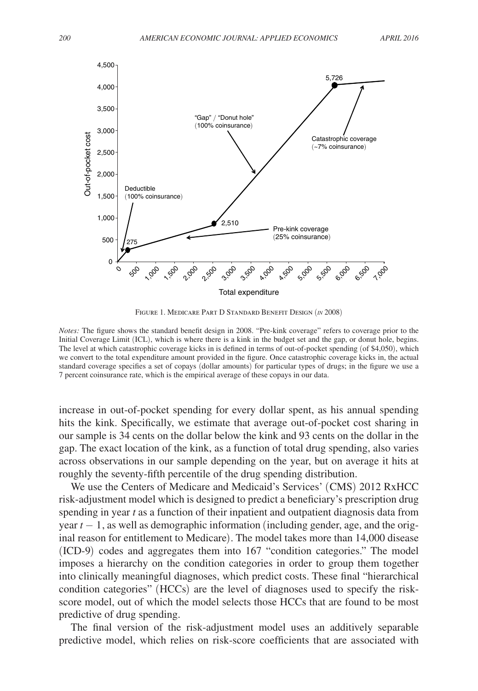<span id="page-5-0"></span>

Figure 1. Medicare Part D Standard Benefit Design (*in* 2008)

*Notes:* The figure shows the standard benefit design in 2008. "Pre-kink coverage" refers to coverage prior to the Initial Coverage Limit (ICL), which is where there is a kink in the budget set and the gap, or donut hole, begins. The level at which catastrophic coverage kicks in is defined in terms of out-of-pocket spending (of \$4,050), which we convert to the total expenditure amount provided in the figure. Once catastrophic coverage kicks in, the actual standard coverage specifies a set of copays (dollar amounts) for particular types of drugs; in the figure we use a 7 percent coinsurance rate, which is the empirical average of these copays in our data.

increase in out-of-pocket spending for every dollar spent, as his annual spending hits the kink. Specifically, we estimate that average out-of-pocket cost sharing in our sample is 34 cents on the dollar below the kink and 93 cents on the dollar in the gap. The exact location of the kink, as a function of total drug spending, also varies across observations in our sample depending on the year, but on average it hits at roughly the seventy-fifth percentile of the drug spending distribution.

We use the Centers of Medicare and Medicaid's Services' (CMS) 2012 RxHCC risk-adjustment model which is designed to predict a beneficiary's prescription drug spending in year *t* as a function of their inpatient and outpatient diagnosis data from year *t* − 1, as well as demographic information (including gender, age, and the original reason for entitlement to Medicare). The model takes more than 14,000 disease (ICD-9) codes and aggregates them into 167 "condition categories." The model imposes a hierarchy on the condition categories in order to group them together into clinically meaningful diagnoses, which predict costs. These final "hierarchical condition categories" (HCCs) are the level of diagnoses used to specify the riskscore model, out of which the model selects those HCCs that are found to be most predictive of drug spending.

The final version of the risk-adjustment model uses an additively separable predictive model, which relies on risk-score coefficients that are associated with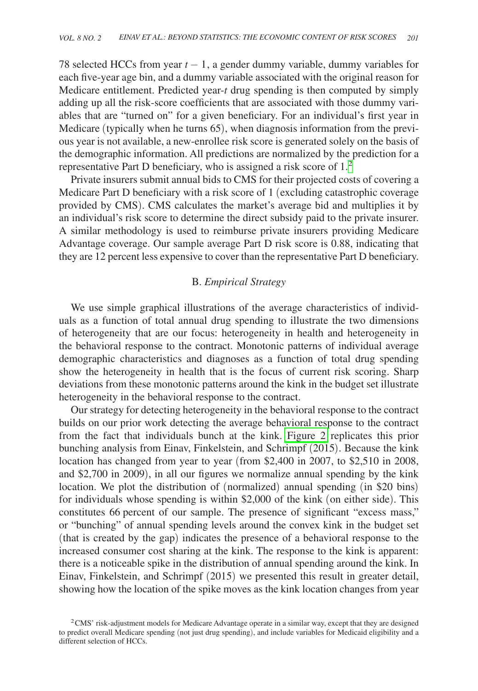78 selected HCCs from year *t* − 1, a gender dummy variable, dummy variables for each five-year age bin, and a dummy variable associated with the original reason for Medicare entitlement. Predicted year-*t* drug spending is then computed by simply adding up all the risk-score coefficients that are associated with those dummy variables that are "turned on" for a given beneficiary. For an individual's first year in Medicare (typically when he turns 65), when diagnosis information from the previous year is not available, a new-enrollee risk score is generated solely on the basis of the demographic information. All predictions are normalized by the prediction for a representative Part D beneficiary, who is assigned a risk score of 1[.2](#page-6-0)

Private insurers submit annual bids to CMS for their projected costs of covering a Medicare Part D beneficiary with a risk score of 1 (excluding catastrophic coverage provided by CMS). CMS calculates the market's average bid and multiplies it by an individual's risk score to determine the direct subsidy paid to the private insurer. A similar methodology is used to reimburse private insurers providing Medicare Advantage coverage. Our sample average Part D risk score is 0.88, indicating that they are 12 percent less expensive to cover than the representative Part D beneficiary.

# B. *Empirical Strategy*

We use simple graphical illustrations of the average characteristics of individuals as a function of total annual drug spending to illustrate the two dimensions of heterogeneity that are our focus: heterogeneity in health and heterogeneity in the behavioral response to the contract. Monotonic patterns of individual average demographic characteristics and diagnoses as a function of total drug spending show the heterogeneity in health that is the focus of current risk scoring. Sharp deviations from these monotonic patterns around the kink in the budget set illustrate heterogeneity in the behavioral response to the contract.

Our strategy for detecting heterogeneity in the behavioral response to the contract builds on our prior work detecting the average behavioral response to the contract from the fact that individuals bunch at the kink. [Figure 2](#page-7-0) replicates this prior bunching analysis from Einav, Finkelstein, and Schrimpf (2015). Because the kink location has changed from year to year (from \$2,400 in 2007, to \$2,510 in 2008, and \$2,700 in 2009), in all our figures we normalize annual spending by the kink location. We plot the distribution of (normalized) annual spending (in \$20 bins) for individuals whose spending is within \$2,000 of the kink (on either side). This constitutes 66 percent of our sample. The presence of significant "excess mass," or "bunching" of annual spending levels around the convex kink in the budget set (that is created by the gap) indicates the presence of a behavioral response to the increased consumer cost sharing at the kink. The response to the kink is apparent: there is a noticeable spike in the distribution of annual spending around the kink. In Einav, Finkelstein, and Schrimpf (2015) we presented this result in greater detail, showing how the location of the spike moves as the kink location changes from year

<span id="page-6-0"></span><sup>&</sup>lt;sup>2</sup>CMS' risk-adjustment models for Medicare Advantage operate in a similar way, except that they are designed to predict overall Medicare spending (not just drug spending), and include variables for Medicaid eligibility and a different selection of HCCs.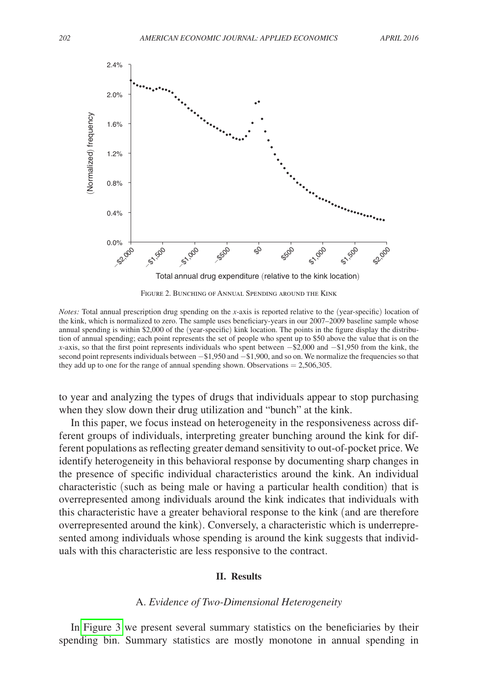<span id="page-7-0"></span>

Figure 2. Bunching of Annual Spending around the Kink

*Notes:* Total annual prescription drug spending on the *x*-axis is reported relative to the (year-specific) location of the kink, which is normalized to zero. The sample uses beneficiary-years in our 2007–2009 baseline sample whose annual spending is within \$2,000 of the (year-specific) kink location. The points in the figure display the distribution of annual spending; each point represents the set of people who spent up to \$50 above the value that is on the *x*-axis, so that the first point represents individuals who spent between  $-$ \$2,000 and  $-$ \$1,950 from the kink, the second point represents individuals between  $−$ \$1,950 and  $−$ \$1,900, and so on. We normalize the frequencies so that they add up to one for the range of annual spending shown. Observations  $= 2,506,305$ .

to year and analyzing the types of drugs that individuals appear to stop purchasing when they slow down their drug utilization and "bunch" at the kink.

In this paper, we focus instead on heterogeneity in the responsiveness across different groups of individuals, interpreting greater bunching around the kink for different populations as reflecting greater demand sensitivity to out-of-pocket price. We identify heterogeneity in this behavioral response by documenting sharp changes in the presence of specific individual characteristics around the kink. An individual characteristic (such as being male or having a particular health condition) that is overrepresented among individuals around the kink indicates that individuals with this characteristic have a greater behavioral response to the kink (and are therefore overrepresented around the kink). Conversely, a characteristic which is underrepresented among individuals whose spending is around the kink suggests that individuals with this characteristic are less responsive to the contract.

#### **II. Results**

### A. *Evidence of Two-Dimensional Heterogeneity*

In [Figure 3](#page-8-0) we present several summary statistics on the beneficiaries by their spending bin. Summary statistics are mostly monotone in annual spending in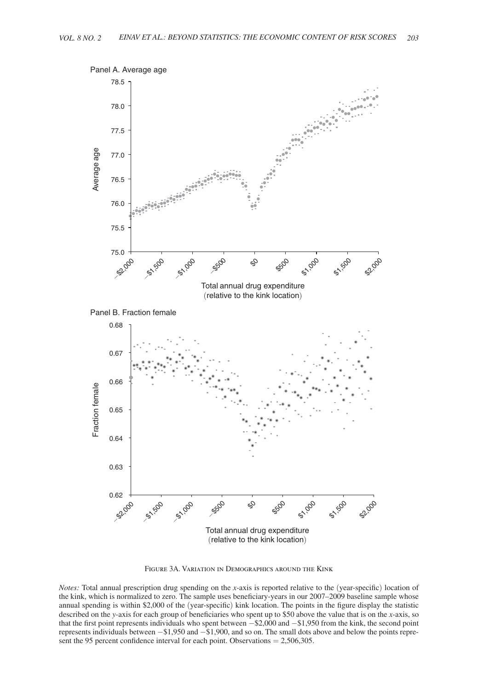<span id="page-8-0"></span>

Figure 3A. Variation in Demographics around the Kink

*Notes:* Total annual prescription drug spending on the *x*-axis is reported relative to the (year-specific) location of the kink, which is normalized to zero. The sample uses beneficiary-years in our 2007–2009 baseline sample whose annual spending is within \$2,000 of the (year-specific) kink location. The points in the figure display the statistic described on the *y*-axis for each group of beneficiaries who spent up to \$50 above the value that is on the *x*-axis, so that the first point represents individuals who spent between −\$2,000 and −\$1,950 from the kink, the second point represents individuals between −\$1,950 and −\$1,900, and so on. The small dots above and below the points represent the 95 percent confidence interval for each point. Observations = 2,506,305.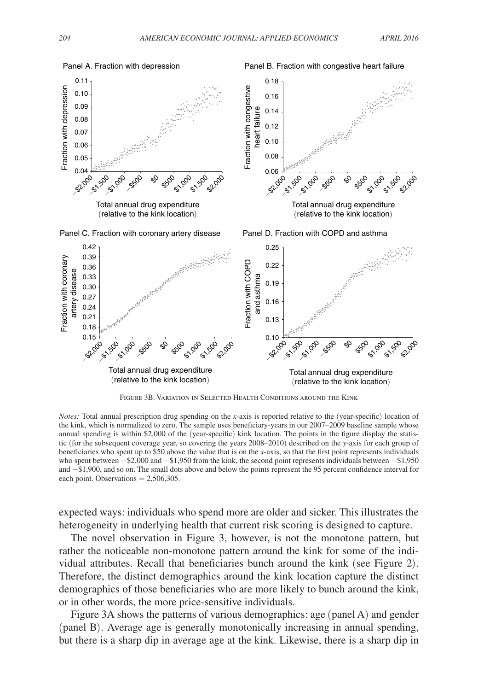

Figure 3B. Variation in Selected Health Conditions around the Kink

*Notes:* Total annual prescription drug spending on the *x*-axis is reported relative to the (year-specific) location of the kink, which is normalized to zero. The sample uses beneficiary-years in our 2007–2009 baseline sample whose annual spending is within \$2,000 of the (year-specific) kink location. The points in the figure display the statistic (for the subsequent coverage year, so covering the years 2008–2010) described on the *y*-axis for each group of beneficiaries who spent up to \$50 above the value that is on the *x*-axis, so that the first point represents individuals who spent between −\$2,000 and −\$1,950 from the kink, the second point represents individuals between −\$1,950 and −\$1,900, and so on. The small dots above and below the points represent the 95 percent confidence interval for each point. Observations  $= 2,506,305$ .

expected ways: individuals who spend more are older and sicker. This illustrates the heterogeneity in underlying health that current risk scoring is designed to capture.

The novel observation in Figure 3, however, is not the monotone pattern, but rather the noticeable non-monotone pattern around the kink for some of the individual attributes. Recall that beneficiaries bunch around the kink (see Figure 2). Therefore, the distinct demographics around the kink location capture the distinct demographics of those beneficiaries who are more likely to bunch around the kink, or in other words, the more price-sensitive individuals.

Figure 3A shows the patterns of various demographics: age (panel A) and gender (panel B). Average age is generally monotonically increasing in annual spending, but there is a sharp dip in average age at the kink. Likewise, there is a sharp dip in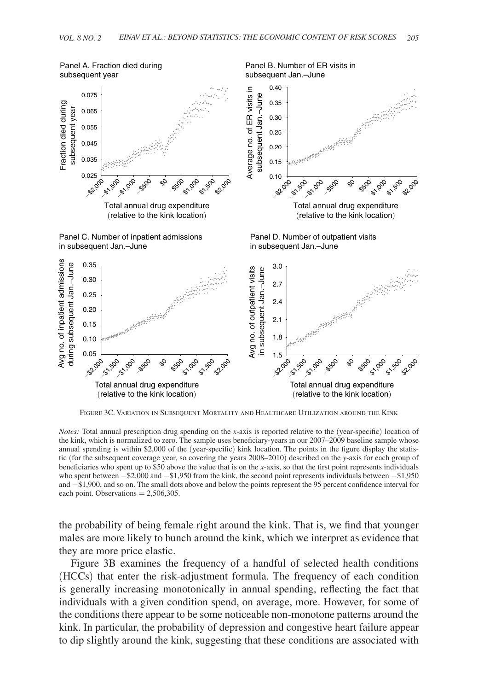

Figure 3C. Variation in Subsequent Mortality and Healthcare Utilization around the Kink

*Notes:* Total annual prescription drug spending on the *x*-axis is reported relative to the (year-specific) location of the kink, which is normalized to zero. The sample uses beneficiary-years in our 2007–2009 baseline sample whose annual spending is within \$2,000 of the (year-specific) kink location. The points in the figure display the statistic (for the subsequent coverage year, so covering the years 2008–2010) described on the *y*-axis for each group of beneficiaries who spent up to \$50 above the value that is on the *x*-axis, so that the first point represents individuals who spent between −\$2,000 and −\$1,950 from the kink, the second point represents individuals between −\$1,950 and −\$1,900, and so on. The small dots above and below the points represent the 95 percent confidence interval for each point. Observations  $= 2,506,305$ .

the probability of being female right around the kink. That is, we find that younger males are more likely to bunch around the kink, which we interpret as evidence that they are more price elastic.

Figure 3B examines the frequency of a handful of selected health conditions (HCCs) that enter the risk-adjustment formula. The frequency of each condition is generally increasing monotonically in annual spending, reflecting the fact that individuals with a given condition spend, on average, more. However, for some of the conditions there appear to be some noticeable non-monotone patterns around the kink. In particular, the probability of depression and congestive heart failure appear to dip slightly around the kink, suggesting that these conditions are associated with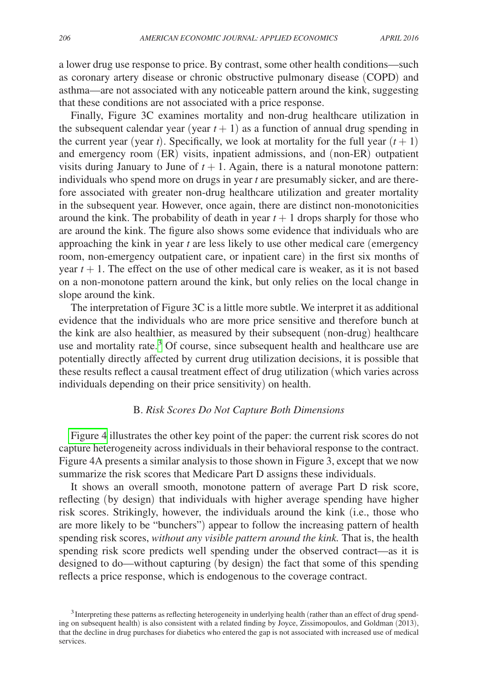a lower drug use response to price. By contrast, some other health conditions—such as coronary artery disease or chronic obstructive pulmonary disease (COPD) and asthma—are not associated with any noticeable pattern around the kink, suggesting that these conditions are not associated with a price response.

Finally, Figure 3C examines mortality and non-drug healthcare utilization in the subsequent calendar year (year  $t + 1$ ) as a function of annual drug spending in the current year (year *t*). Specifically, we look at mortality for the full year  $(t + 1)$ and emergency room (ER) visits, inpatient admissions, and (non-ER) outpatient visits during January to June of  $t + 1$ . Again, there is a natural monotone pattern: individuals who spend more on drugs in year *t* are presumably sicker, and are therefore associated with greater non-drug healthcare utilization and greater mortality in the subsequent year. However, once again, there are distinct non-monotonicities around the kink. The probability of death in year  $t + 1$  drops sharply for those who are around the kink. The figure also shows some evidence that individuals who are approaching the kink in year *t* are less likely to use other medical care (emergency room, non-emergency outpatient care, or inpatient care) in the first six months of year  $t + 1$ . The effect on the use of other medical care is weaker, as it is not based on a non-monotone pattern around the kink, but only relies on the local change in slope around the kink.

The interpretation of Figure 3C is a little more subtle. We interpret it as additional evidence that the individuals who are more price sensitive and therefore bunch at the kink are also healthier, as measured by their subsequent (non-drug) healthcare use and mortality rate.<sup>[3](#page-11-0)</sup> Of course, since subsequent health and healthcare use are potentially directly affected by current drug utilization decisions, it is possible that these results reflect a causal treatment effect of drug utilization (which varies across individuals depending on their price sensitivity) on health.

## B. *Risk Scores Do Not Capture Both Dimensions*

[Figure 4](#page-12-0) illustrates the other key point of the paper: the current risk scores do not capture heterogeneity across individuals in their behavioral response to the contract. Figure 4A presents a similar analysis to those shown in Figure 3, except that we now summarize the risk scores that Medicare Part D assigns these individuals.

It shows an overall smooth, monotone pattern of average Part D risk score, reflecting (by design) that individuals with higher average spending have higher risk scores. Strikingly, however, the individuals around the kink (i.e., those who are more likely to be "bunchers") appear to follow the increasing pattern of health spending risk scores, *without any visible pattern around the kink.* That is, the health spending risk score predicts well spending under the observed contract—as it is designed to do—without capturing (by design) the fact that some of this spending reflects a price response, which is endogenous to the coverage contract.

<span id="page-11-0"></span><sup>&</sup>lt;sup>3</sup>Interpreting these patterns as reflecting heterogeneity in underlying health (rather than an effect of drug spending on subsequent health) is also consistent with a related finding by Joyce, Zissimopoulos, and Goldman (2013), that the decline in drug purchases for diabetics who entered the gap is not associated with increased use of medical services.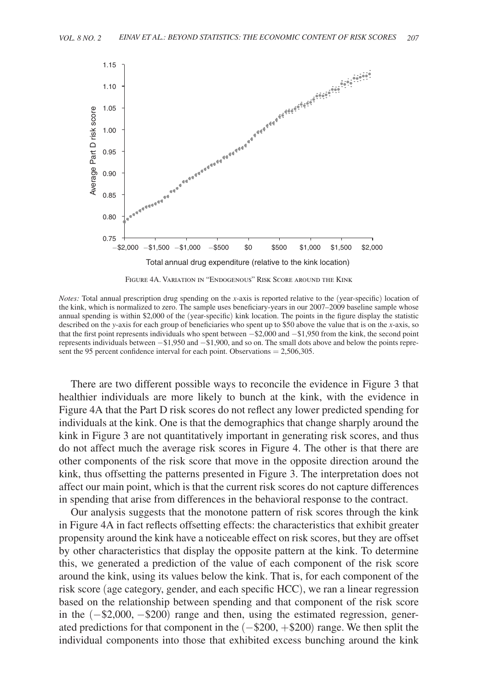<span id="page-12-0"></span>

Figure 4A. Variation in "Endogenous" Risk Score around the Kink

*Notes:* Total annual prescription drug spending on the *x*-axis is reported relative to the (year-specific) location of the kink, which is normalized to zero. The sample uses beneficiary-years in our 2007–2009 baseline sample whose annual spending is within \$2,000 of the (year-specific) kink location. The points in the figure display the statistic described on the *y*-axis for each group of beneficiaries who spent up to \$50 above the value that is on the *x*-axis, so that the first point represents individuals who spent between −\$2,000 and −\$1,950 from the kink, the second point represents individuals between −\$1,950 and −\$1,900, and so on. The small dots above and below the points represent the 95 percent confidence interval for each point. Observations = 2,506,305.

There are two different possible ways to reconcile the evidence in Figure 3 that healthier individuals are more likely to bunch at the kink, with the evidence in Figure 4A that the Part D risk scores do not reflect any lower predicted spending for individuals at the kink. One is that the demographics that change sharply around the kink in Figure 3 are not quantitatively important in generating risk scores, and thus do not affect much the average risk scores in Figure 4. The other is that there are other components of the risk score that move in the opposite direction around the kink, thus offsetting the patterns presented in Figure 3. The interpretation does not affect our main point, which is that the current risk scores do not capture differences in spending that arise from differences in the behavioral response to the contract.

Our analysis suggests that the monotone pattern of risk scores through the kink in Figure 4A in fact reflects offsetting effects: the characteristics that exhibit greater propensity around the kink have a noticeable effect on risk scores, but they are offset by other characteristics that display the opposite pattern at the kink. To determine this, we generated a prediction of the value of each component of the risk score around the kink, using its values below the kink. That is, for each component of the risk score (age category, gender, and each specific HCC), we ran a linear regression based on the relationship between spending and that component of the risk score in the (−\$2,000, −\$200) range and then, using the estimated regression, generated predictions for that component in the (−\$200, +\$200) range. We then split the individual components into those that exhibited excess bunching around the kink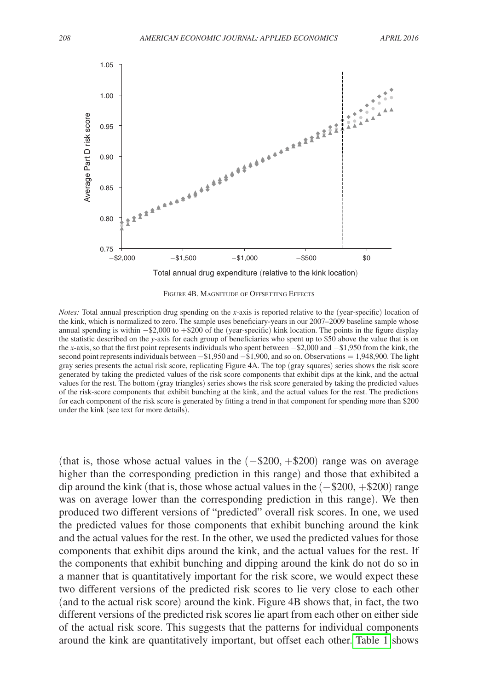

FIGURE 4B. MAGNITUDE OF OFFSETTING EFFECTS

*Notes:* Total annual prescription drug spending on the *x*-axis is reported relative to the (year-specific) location of the kink, which is normalized to zero. The sample uses beneficiary-years in our 2007–2009 baseline sample whose annual spending is within −\$2,000 to +\$200 of the (year-specific) kink location. The points in the figure display the statistic described on the *y*-axis for each group of beneficiaries who spent up to \$50 above the value that is on the *x*-axis, so that the first point represents individuals who spent between −\$2,000 and −\$1,950 from the kink, the second point represents individuals between  $-$ \$1,950 and  $-$ \$1,900, and so on. Observations = 1,948,900. The light gray series presents the actual risk score, replicating Figure 4A. The top (gray squares) series shows the risk score generated by taking the predicted values of the risk score components that exhibit dips at the kink, and the actual values for the rest. The bottom (gray triangles) series shows the risk score generated by taking the predicted values of the risk-score components that exhibit bunching at the kink, and the actual values for the rest. The predictions for each component of the risk score is generated by fitting a trend in that component for spending more than \$200 under the kink (see text for more details).

(that is, those whose actual values in the  $(-\$200, +\$200)$  range was on average higher than the corresponding prediction in this range) and those that exhibited a dip around the kink (that is, those whose actual values in the  $(-\$200, +\$200)$  range was on average lower than the corresponding prediction in this range). We then produced two different versions of "predicted" overall risk scores. In one, we used the predicted values for those components that exhibit bunching around the kink and the actual values for the rest. In the other, we used the predicted values for those components that exhibit dips around the kink, and the actual values for the rest. If the components that exhibit bunching and dipping around the kink do not do so in a manner that is quantitatively important for the risk score, we would expect these two different versions of the predicted risk scores to lie very close to each other (and to the actual risk score) around the kink. Figure 4B shows that, in fact, the two different versions of the predicted risk scores lie apart from each other on either side of the actual risk score. This suggests that the patterns for individual components around the kink are quantitatively important, but offset each other. [Table 1](#page-14-0) shows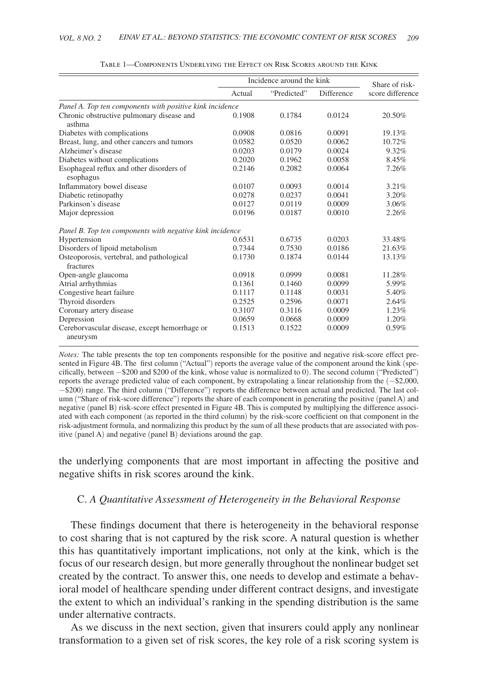<span id="page-14-0"></span>

|                                                           | Incidence around the kink |             |            | Share of risk-   |
|-----------------------------------------------------------|---------------------------|-------------|------------|------------------|
|                                                           | Actual                    | "Predicted" | Difference | score difference |
| Panel A. Top ten components with positive kink incidence  |                           |             |            |                  |
| Chronic obstructive pulmonary disease and<br>asthma       | 0.1908                    | 0.1784      | 0.0124     | 20.50%           |
| Diabetes with complications                               | 0.0908                    | 0.0816      | 0.0091     | 19.13%           |
| Breast, lung, and other cancers and tumors                | 0.0582                    | 0.0520      | 0.0062     | 10.72%           |
| Alzheimer's disease                                       | 0.0203                    | 0.0179      | 0.0024     | 9.32%            |
| Diabetes without complications                            | 0.2020                    | 0.1962      | 0.0058     | 8.45%            |
| Esophageal reflux and other disorders of<br>esophagus     | 0.2146                    | 0.2082      | 0.0064     | 7.26%            |
| Inflammatory bowel disease                                | 0.0107                    | 0.0093      | 0.0014     | 3.21%            |
| Diabetic retinopathy                                      | 0.0278                    | 0.0237      | 0.0041     | 3.20%            |
| Parkinson's disease                                       | 0.0127                    | 0.0119      | 0.0009     | 3.06%            |
| Major depression                                          | 0.0196                    | 0.0187      | 0.0010     | 2.26%            |
| Panel B. Top ten components with negative kink incidence  |                           |             |            |                  |
| Hypertension                                              | 0.6531                    | 0.6735      | 0.0203     | 33.48%           |
| Disorders of lipoid metabolism                            | 0.7344                    | 0.7530      | 0.0186     | 21.63%           |
| Osteoporosis, vertebral, and pathological<br>fractures    | 0.1730                    | 0.1874      | 0.0144     | 13.13%           |
| Open-angle glaucoma                                       | 0.0918                    | 0.0999      | 0.0081     | 11.28%           |
| Atrial arrhythmias                                        | 0.1361                    | 0.1460      | 0.0099     | 5.99%            |
| Congestive heart failure                                  | 0.1117                    | 0.1148      | 0.0031     | 5.40%            |
| Thyroid disorders                                         | 0.2525                    | 0.2596      | 0.0071     | 2.64%            |
| Coronary artery disease                                   | 0.3107                    | 0.3116      | 0.0009     | 1.23%            |
| Depression                                                | 0.0659                    | 0.0668      | 0.0009     | 1.20%            |
| Cereborvascular disease, except hemorrhage or<br>aneurysm | 0.1513                    | 0.1522      | 0.0009     | 0.59%            |

| TABLE 1—COMPONENTS UNDERLYING THE EFFECT ON RISK SCORES AROUND THE KINK |  |
|-------------------------------------------------------------------------|--|
|-------------------------------------------------------------------------|--|

*Notes:* The table presents the top ten components responsible for the positive and negative risk-score effect presented in Figure 4B. The first column ("Actual") reports the average value of the component around the kink (specifically, between −\$200 and \$200 of the kink, whose value is normalized to 0). The second column ("Predicted") reports the average predicted value of each component, by extrapolating a linear relationship from the (−\$2,000, −\$200) range. The third column ("Difference") reports the difference between actual and predicted. The last column ("Share of risk-score difference") reports the share of each component in generating the positive (panel A) and negative (panel B) risk-score effect presented in Figure 4B. This is computed by multiplying the difference associated with each component (as reported in the third column) by the risk-score coefficient on that component in the risk-adjustment formula, and normalizing this product by the sum of all these products that are associated with positive (panel A) and negative (panel B) deviations around the gap.

the underlying components that are most important in affecting the positive and negative shifts in risk scores around the kink.

#### C. *A Quantitative Assessment of Heterogeneity in the Behavioral Response*

These findings document that there is heterogeneity in the behavioral response to cost sharing that is not captured by the risk score. A natural question is whether this has quantitatively important implications, not only at the kink, which is the focus of our research design, but more generally throughout the nonlinear budget set created by the contract. To answer this, one needs to develop and estimate a behavioral model of healthcare spending under different contract designs, and investigate the extent to which an individual's ranking in the spending distribution is the same under alternative contracts.

As we discuss in the next section, given that insurers could apply any nonlinear transformation to a given set of risk scores, the key role of a risk scoring system is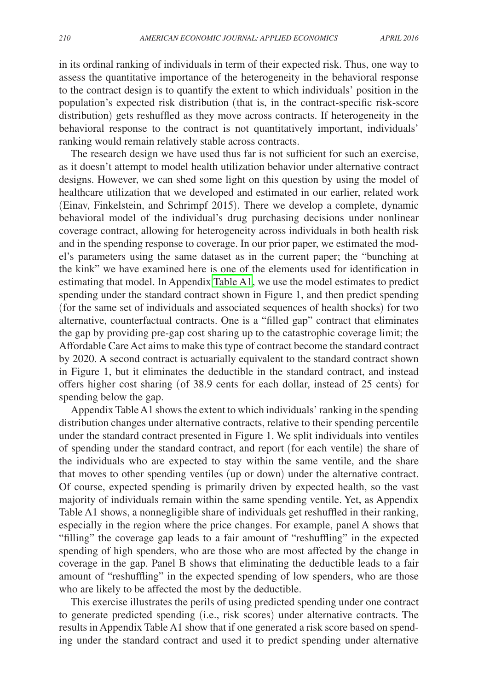in its ordinal ranking of individuals in term of their expected risk. Thus, one way to assess the quantitative importance of the heterogeneity in the behavioral response to the contract design is to quantify the extent to which individuals' position in the population's expected risk distribution (that is, in the contract-specific risk-score distribution) gets reshuffled as they move across contracts. If heterogeneity in the behavioral response to the contract is not quantitatively important, individuals' ranking would remain relatively stable across contracts.

The research design we have used thus far is not sufficient for such an exercise, as it doesn't attempt to model health utilization behavior under alternative contract designs. However, we can shed some light on this question by using the model of healthcare utilization that we developed and estimated in our earlier, related work (Einav, Finkelstein, and Schrimpf 2015). There we develop a complete, dynamic behavioral model of the individual's drug purchasing decisions under nonlinear coverage contract, allowing for heterogeneity across individuals in both health risk and in the spending response to coverage. In our prior paper, we estimated the model's parameters using the same dataset as in the current paper; the "bunching at the kink" we have examined here is one of the elements used for identification in estimating that model. In Appendix [Table A1](#page-27-0), we use the model estimates to predict spending under the standard contract shown in Figure 1, and then predict spending (for the same set of individuals and associated sequences of health shocks) for two alternative, counterfactual contracts. One is a "filled gap" contract that eliminates the gap by providing pre-gap cost sharing up to the catastrophic coverage limit; the Affordable Care Act aims to make this type of contract become the standard contract by 2020. A second contract is actuarially equivalent to the standard contract shown in Figure 1, but it eliminates the deductible in the standard contract, and instead offers higher cost sharing (of 38.9 cents for each dollar, instead of 25 cents) for spending below the gap.

Appendix Table A1 shows the extent to which individuals' ranking in the spending distribution changes under alternative contracts, relative to their spending percentile under the standard contract presented in Figure 1. We split individuals into ventiles of spending under the standard contract, and report (for each ventile) the share of the individuals who are expected to stay within the same ventile, and the share that moves to other spending ventiles (up or down) under the alternative contract. Of course, expected spending is primarily driven by expected health, so the vast majority of individuals remain within the same spending ventile. Yet, as Appendix Table A1 shows, a nonnegligible share of individuals get reshuffled in their ranking, especially in the region where the price changes. For example, panel A shows that "filling" the coverage gap leads to a fair amount of "reshuffling" in the expected spending of high spenders, who are those who are most affected by the change in coverage in the gap. Panel B shows that eliminating the deductible leads to a fair amount of "reshuffling" in the expected spending of low spenders, who are those who are likely to be affected the most by the deductible.

This exercise illustrates the perils of using predicted spending under one contract to generate predicted spending (i.e., risk scores) under alternative contracts. The results in Appendix Table A1 show that if one generated a risk score based on spending under the standard contract and used it to predict spending under alternative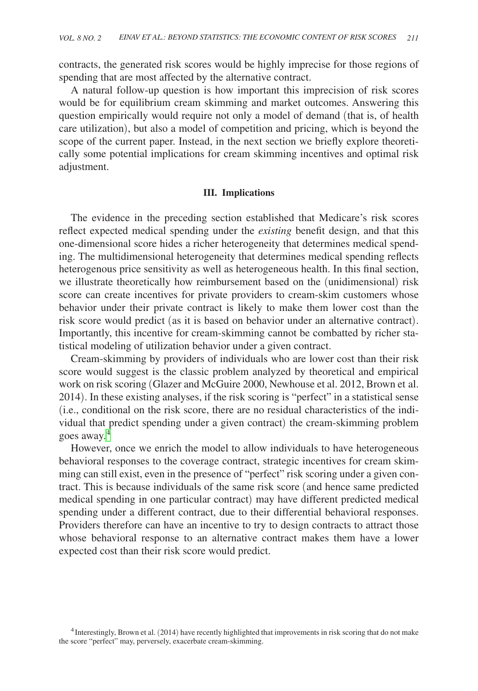contracts, the generated risk scores would be highly imprecise for those regions of spending that are most affected by the alternative contract.

A natural follow-up question is how important this imprecision of risk scores would be for equilibrium cream skimming and market outcomes. Answering this question empirically would require not only a model of demand (that is, of health care utilization), but also a model of competition and pricing, which is beyond the scope of the current paper. Instead, in the next section we briefly explore theoretically some potential implications for cream skimming incentives and optimal risk adjustment.

#### **III. Implications**

The evidence in the preceding section established that Medicare's risk scores reflect expected medical spending under the *existing* benefit design, and that this one-dimensional score hides a richer heterogeneity that determines medical spending. The multidimensional heterogeneity that determines medical spending reflects heterogenous price sensitivity as well as heterogeneous health. In this final section, we illustrate theoretically how reimbursement based on the (unidimensional) risk score can create incentives for private providers to cream-skim customers whose behavior under their private contract is likely to make them lower cost than the risk score would predict (as it is based on behavior under an alternative contract). Importantly, this incentive for cream-skimming cannot be combatted by richer statistical modeling of utilization behavior under a given contract.

Cream-skimming by providers of individuals who are lower cost than their risk score would suggest is the classic problem analyzed by theoretical and empirical work on risk scoring (Glazer and McGuire 2000, Newhouse et al. 2012, Brown et al. 2014). In these existing analyses, if the risk scoring is "perfect" in a statistical sense (i.e., conditional on the risk score, there are no residual characteristics of the individual that predict spending under a given contract) the cream-skimming problem goes away.[4](#page-16-0)

However, once we enrich the model to allow individuals to have heterogeneous behavioral responses to the coverage contract, strategic incentives for cream skimming can still exist, even in the presence of "perfect" risk scoring under a given contract. This is because individuals of the same risk score (and hence same predicted medical spending in one particular contract) may have different predicted medical spending under a different contract, due to their differential behavioral responses. Providers therefore can have an incentive to try to design contracts to attract those whose behavioral response to an alternative contract makes them have a lower expected cost than their risk score would predict.

<span id="page-16-0"></span><sup>&</sup>lt;sup>4</sup>Interestingly, Brown et al. (2014) have recently highlighted that improvements in risk scoring that do not make the score "perfect" may, perversely, exacerbate cream-skimming.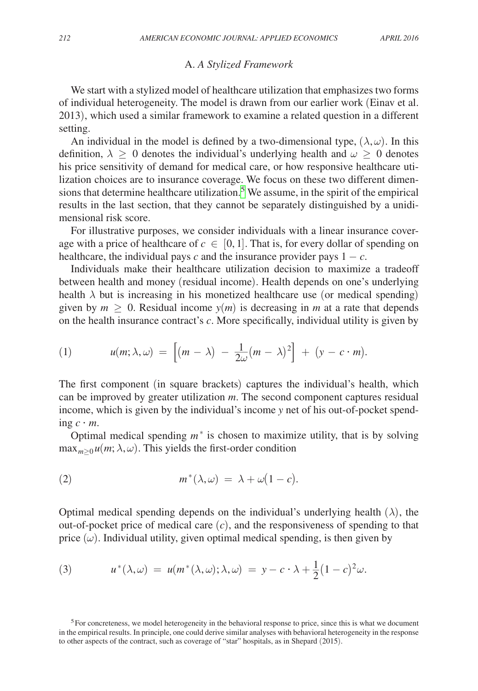#### A. *A Stylized Framework*

We start with a stylized model of healthcare utilization that emphasizes two forms of individual heterogeneity. The model is drawn from our earlier work (Einav et al. 2013), which used a similar framework to examine a related question in a different setting.

An individual in the model is defined by a two-dimensional type,  $(\lambda, \omega)$ . In this definition,  $\lambda \geq 0$  denotes the individual's underlying health and  $\omega \geq 0$  denotes his price sensitivity of demand for medical care, or how responsive healthcare utilization choices are to insurance coverage. We focus on these two different dimen-sions that determine healthcare utilization.<sup>[5](#page-17-0)</sup> We assume, in the spirit of the empirical results in the last section, that they cannot be separately distinguished by a unidimensional risk score.

For illustrative purposes, we consider individuals with a linear insurance coverage with a price of healthcare of  $c \in [0, 1]$ . That is, for every dollar of spending on healthcare, the individual pays  $c$  and the insurance provider pays  $1 - c$ .

Individuals make their healthcare utilization decision to maximize a tradeoff between health and money (residual income). Health depends on one's underlying health  $\lambda$  but is increasing in his monetized healthcare use (or medical spending) given by  $m \geq 0$ . Residual income  $y(m)$  is decreasing in *m* at a rate that depends on the health insurance contract's *c*. More specifically, individual utility is given by

(1) 
$$
u(m; \lambda, \omega) = \left[ (m - \lambda) - \frac{1}{2\omega} (m - \lambda)^2 \right] + (y - c \cdot m).
$$

The first component (in square brackets) captures the individual's health, which can be improved by greater utilization *m*. The second component captures residual income, which is given by the individual's income *y* net of his out-of-pocket spending  $c \cdot m$ .

Optimal medical spending  $m^*$  is chosen to maximize utility, that is by solving  $\max_{m>0} u(m; \lambda, \omega)$ . This yields the first-order condition

(2) 
$$
m^*(\lambda, \omega) = \lambda + \omega(1 - c).
$$

Optimal medical spending depends on the individual's underlying health  $(\lambda)$ , the out-of-pocket price of medical care (*c*), and the responsiveness of spending to that price  $(\omega)$ . Individual utility, given optimal medical spending, is then given by

(3) 
$$
u^*(\lambda, \omega) = u(m^*(\lambda, \omega); \lambda, \omega) = y - c \cdot \lambda + \frac{1}{2}(1 - c)^2 \omega.
$$

<span id="page-17-0"></span>5For concreteness, we model heterogeneity in the behavioral response to price, since this is what we document in the empirical results. In principle, one could derive similar analyses with behavioral heterogeneity in the response to other aspects of the contract, such as coverage of "star" hospitals, as in Shepard (2015).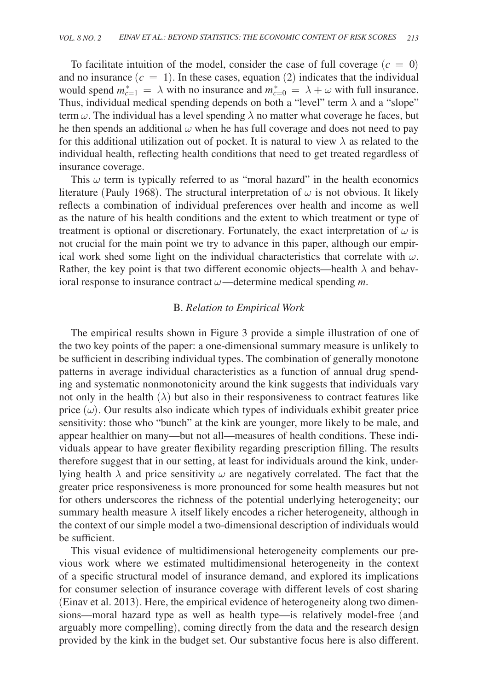To facilitate intuition of the model, consider the case of full coverage  $(c = 0)$ and no insurance  $(c = 1)$ . In these cases, equation (2) indicates that the individual would spend  $m_{c=1}^* = \lambda$  with no insurance and  $m_{c=0}^* = \lambda + \omega$  with full insurance. Thus, individual medical spending depends on both a "level" term  $\lambda$  and a "slope" term  $\omega$ . The individual has a level spending  $\lambda$  no matter what coverage he faces, but he then spends an additional  $\omega$  when he has full coverage and does not need to pay for this additional utilization out of pocket. It is natural to view  $\lambda$  as related to the individual health, reflecting health conditions that need to get treated regardless of insurance coverage.

This  $\omega$  term is typically referred to as "moral hazard" in the health economics literature (Pauly 1968). The structural interpretation of  $\omega$  is not obvious. It likely reflects a combination of individual preferences over health and income as well as the nature of his health conditions and the extent to which treatment or type of treatment is optional or discretionary. Fortunately, the exact interpretation of  $\omega$  is not crucial for the main point we try to advance in this paper, although our empirical work shed some light on the individual characteristics that correlate with  $\omega$ . Rather, the key point is that two different economic objects—health  $\lambda$  and behavioral response to insurance contract  $\omega$ —determine medical spending  $m$ .

#### B. *Relation to Empirical Work*

The empirical results shown in Figure 3 provide a simple illustration of one of the two key points of the paper: a one-dimensional summary measure is unlikely to be sufficient in describing individual types. The combination of generally monotone patterns in average individual characteristics as a function of annual drug spending and systematic nonmonotonicity around the kink suggests that individuals vary not only in the health  $(\lambda)$  but also in their responsiveness to contract features like price  $(\omega)$ . Our results also indicate which types of individuals exhibit greater price sensitivity: those who "bunch" at the kink are younger, more likely to be male, and appear healthier on many—but not all—measures of health conditions. These individuals appear to have greater flexibility regarding prescription filling. The results therefore suggest that in our setting, at least for individuals around the kink, underlying health  $\lambda$  and price sensitivity  $\omega$  are negatively correlated. The fact that the greater price responsiveness is more pronounced for some health measures but not for others underscores the richness of the potential underlying heterogeneity; our summary health measure  $\lambda$  itself likely encodes a richer heterogeneity, although in the context of our simple model a two-dimensional description of individuals would be sufficient.

This visual evidence of multidimensional heterogeneity complements our previous work where we estimated multidimensional heterogeneity in the context of a specific structural model of insurance demand, and explored its implications for consumer selection of insurance coverage with different levels of cost sharing (Einav et al. 2013). Here, the empirical evidence of heterogeneity along two dimensions—moral hazard type as well as health type—is relatively model-free (and arguably more compelling), coming directly from the data and the research design provided by the kink in the budget set. Our substantive focus here is also different.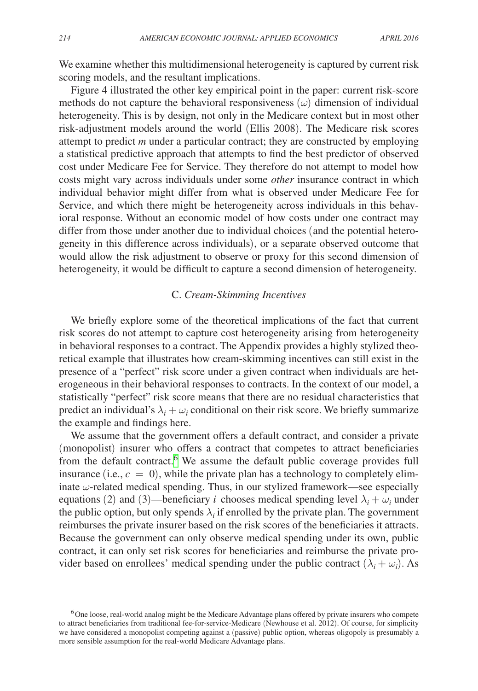We examine whether this multidimensional heterogeneity is captured by current risk scoring models, and the resultant implications.

Figure 4 illustrated the other key empirical point in the paper: current risk-score methods do not capture the behavioral responsiveness  $(\omega)$  dimension of individual heterogeneity. This is by design, not only in the Medicare context but in most other risk-adjustment models around the world (Ellis 2008). The Medicare risk scores attempt to predict *m* under a particular contract; they are constructed by employing a statistical predictive approach that attempts to find the best predictor of observed cost under Medicare Fee for Service. They therefore do not attempt to model how costs might vary across individuals under some *other* insurance contract in which individual behavior might differ from what is observed under Medicare Fee for Service, and which there might be heterogeneity across individuals in this behavioral response. Without an economic model of how costs under one contract may differ from those under another due to individual choices (and the potential heterogeneity in this difference across individuals), or a separate observed outcome that would allow the risk adjustment to observe or proxy for this second dimension of heterogeneity, it would be difficult to capture a second dimension of heterogeneity.

## C. *Cream-Skimming Incentives*

We briefly explore some of the theoretical implications of the fact that current risk scores do not attempt to capture cost heterogeneity arising from heterogeneity in behavioral responses to a contract. The Appendix provides a highly stylized theoretical example that illustrates how cream-skimming incentives can still exist in the presence of a "perfect" risk score under a given contract when individuals are heterogeneous in their behavioral responses to contracts. In the context of our model, a statistically "perfect" risk score means that there are no residual characteristics that predict an individual's  $\lambda_i + \omega_i$  conditional on their risk score. We briefly summarize the example and findings here.

We assume that the government offers a default contract, and consider a private (monopolist) insurer who offers a contract that competes to attract beneficiaries from the default contract.<sup>[6](#page-19-0)</sup> We assume the default public coverage provides full insurance (i.e.,  $c = 0$ ), while the private plan has a technology to completely eliminate  $\omega$ -related medical spending. Thus, in our stylized framework—see especially equations (2) and (3)—beneficiary *i* chooses medical spending level  $\lambda_i + \omega_i$  under the public option, but only spends  $\lambda_i$  if enrolled by the private plan. The government reimburses the private insurer based on the risk scores of the beneficiaries it attracts. Because the government can only observe medical spending under its own, public contract, it can only set risk scores for beneficiaries and reimburse the private provider based on enrollees' medical spending under the public contract  $(\lambda_i + \omega_i)$ . As

<span id="page-19-0"></span><sup>&</sup>lt;sup>6</sup>One loose, real-world analog might be the Medicare Advantage plans offered by private insurers who compete to attract beneficiaries from traditional fee-for-service-Medicare (Newhouse et al. 2012). Of course, for simplicity we have considered a monopolist competing against a (passive) public option, whereas oligopoly is presumably a more sensible assumption for the real-world Medicare Advantage plans.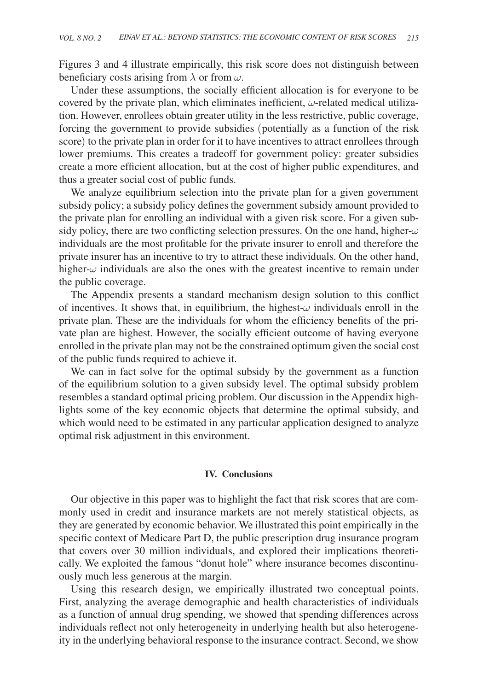Figures 3 and 4 illustrate empirically, this risk score does not distinguish between beneficiary costs arising from  $\lambda$  or from  $\omega$ .

Under these assumptions, the socially efficient allocation is for everyone to be covered by the private plan, which eliminates inefficient,  $\omega$ -related medical utilization. However, enrollees obtain greater utility in the less restrictive, public coverage, forcing the government to provide subsidies (potentially as a function of the risk score) to the private plan in order for it to have incentives to attract enrollees through lower premiums. This creates a tradeoff for government policy: greater subsidies create a more efficient allocation, but at the cost of higher public expenditures, and thus a greater social cost of public funds.

We analyze equilibrium selection into the private plan for a given government subsidy policy; a subsidy policy defines the government subsidy amount provided to the private plan for enrolling an individual with a given risk score. For a given subsidy policy, there are two conflicting selection pressures. On the one hand, higher- $\omega$ individuals are the most profitable for the private insurer to enroll and therefore the private insurer has an incentive to try to attract these individuals. On the other hand, higher- $\omega$  individuals are also the ones with the greatest incentive to remain under the public coverage.

The Appendix presents a standard mechanism design solution to this conflict of incentives. It shows that, in equilibrium, the highest- $\omega$  individuals enroll in the private plan. These are the individuals for whom the efficiency benefits of the private plan are highest. However, the socially efficient outcome of having everyone enrolled in the private plan may not be the constrained optimum given the social cost of the public funds required to achieve it.

We can in fact solve for the optimal subsidy by the government as a function of the equilibrium solution to a given subsidy level. The optimal subsidy problem resembles a standard optimal pricing problem. Our discussion in the Appendix highlights some of the key economic objects that determine the optimal subsidy, and which would need to be estimated in any particular application designed to analyze optimal risk adjustment in this environment.

#### **IV. Conclusions**

Our objective in this paper was to highlight the fact that risk scores that are commonly used in credit and insurance markets are not merely statistical objects, as they are generated by economic behavior. We illustrated this point empirically in the specific context of Medicare Part D, the public prescription drug insurance program that covers over 30 million individuals, and explored their implications theoretically. We exploited the famous "donut hole" where insurance becomes discontinuously much less generous at the margin.

Using this research design, we empirically illustrated two conceptual points. First, analyzing the average demographic and health characteristics of individuals as a function of annual drug spending, we showed that spending differences across individuals reflect not only heterogeneity in underlying health but also heterogeneity in the underlying behavioral response to the insurance contract. Second, we show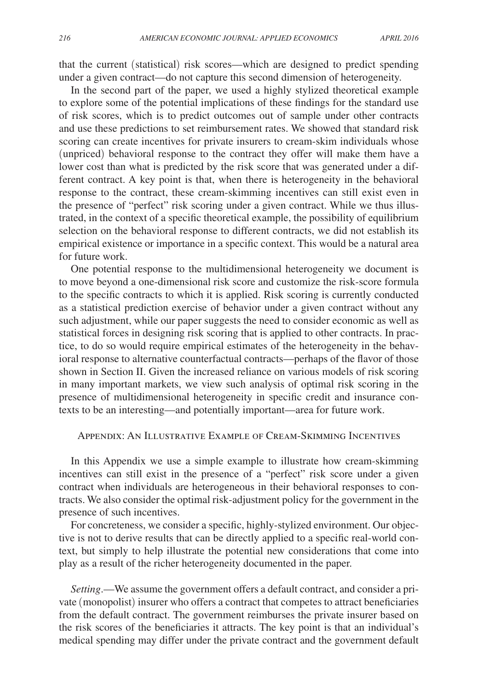that the current (statistical) risk scores—which are designed to predict spending under a given contract—do not capture this second dimension of heterogeneity.

In the second part of the paper, we used a highly stylized theoretical example to explore some of the potential implications of these findings for the standard use of risk scores, which is to predict outcomes out of sample under other contracts and use these predictions to set reimbursement rates. We showed that standard risk scoring can create incentives for private insurers to cream-skim individuals whose (unpriced) behavioral response to the contract they offer will make them have a lower cost than what is predicted by the risk score that was generated under a different contract. A key point is that, when there is heterogeneity in the behavioral response to the contract, these cream-skimming incentives can still exist even in the presence of "perfect" risk scoring under a given contract. While we thus illustrated, in the context of a specific theoretical example, the possibility of equilibrium selection on the behavioral response to different contracts, we did not establish its empirical existence or importance in a specific context. This would be a natural area for future work.

One potential response to the multidimensional heterogeneity we document is to move beyond a one-dimensional risk score and customize the risk-score formula to the specific contracts to which it is applied. Risk scoring is currently conducted as a statistical prediction exercise of behavior under a given contract without any such adjustment, while our paper suggests the need to consider economic as well as statistical forces in designing risk scoring that is applied to other contracts. In practice, to do so would require empirical estimates of the heterogeneity in the behavioral response to alternative counterfactual contracts—perhaps of the flavor of those shown in Section II. Given the increased reliance on various models of risk scoring in many important markets, we view such analysis of optimal risk scoring in the presence of multidimensional heterogeneity in specific credit and insurance contexts to be an interesting—and potentially important—area for future work.

#### Appendix: An Illustrative Example of Cream-Skimming Incentives

In this Appendix we use a simple example to illustrate how cream-skimming incentives can still exist in the presence of a "perfect" risk score under a given contract when individuals are heterogeneous in their behavioral responses to contracts. We also consider the optimal risk-adjustment policy for the government in the presence of such incentives.

For concreteness, we consider a specific, highly-stylized environment. Our objective is not to derive results that can be directly applied to a specific real-world context, but simply to help illustrate the potential new considerations that come into play as a result of the richer heterogeneity documented in the paper.

*Setting*.—We assume the government offers a default contract, and consider a private (monopolist) insurer who offers a contract that competes to attract beneficiaries from the default contract. The government reimburses the private insurer based on the risk scores of the beneficiaries it attracts. The key point is that an individual's medical spending may differ under the private contract and the government default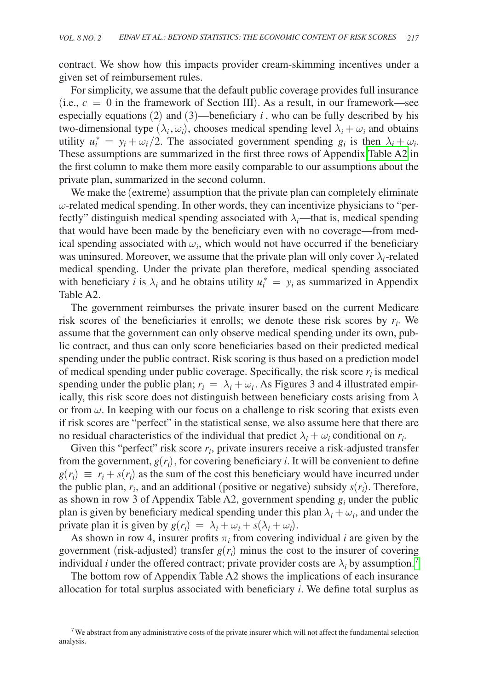contract. We show how this impacts provider cream-skimming incentives under a given set of reimbursement rules.

For simplicity, we assume that the default public coverage provides full insurance (i.e.,  $c = 0$  in the framework of Section III). As a result, in our framework—see especially equations  $(2)$  and  $(3)$ —beneficiary *i*, who can be fully described by his two-dimensional type  $(\lambda_i, \omega_i)$ , chooses medical spending level  $\lambda_i + \omega_i$  and obtains utility  $u_i^* = y_i + \omega_i/2$ . The associated government spending  $g_i$  is then  $\lambda_i + \omega_i$ . These assumptions are summarized in the first three rows of Appendix [Table A2](#page-28-0) in the first column to make them more easily comparable to our assumptions about the private plan, summarized in the second column.

We make the (extreme) assumption that the private plan can completely eliminate  $\omega$ -related medical spending. In other words, they can incentivize physicians to "perfectly" distinguish medical spending associated with  $\lambda_i$ —that is, medical spending that would have been made by the beneficiary even with no coverage—from medical spending associated with  $\omega_i$ , which would not have occurred if the beneficiary was uninsured. Moreover, we assume that the private plan will only cover  $\lambda_i$ -related medical spending. Under the private plan therefore, medical spending associated with beneficiary *i* is  $\lambda_i$  and he obtains utility  $u_i^* = y_i$  as summarized in Appendix Table A2.

The government reimburses the private insurer based on the current Medicare risk scores of the beneficiaries it enrolls; we denote these risk scores by  $r_i$ . We assume that the government can only observe medical spending under its own, public contract, and thus can only score beneficiaries based on their predicted medical spending under the public contract. Risk scoring is thus based on a prediction model of medical spending under public coverage. Specifically, the risk score  $r_i$  is medical spending under the public plan;  $r_i = \lambda_i + \omega_i$ . As Figures 3 and 4 illustrated empirically, this risk score does not distinguish between beneficiary costs arising from  $\lambda$ or from  $\omega$ . In keeping with our focus on a challenge to risk scoring that exists even if risk scores are "perfect" in the statistical sense, we also assume here that there are no residual characteristics of the individual that predict  $\lambda_i + \omega_i$  conditional on  $r_i$ .

Given this "perfect" risk score  $r_i$ , private insurers receive a risk-adjusted transfer from the government,  $g(r_i)$ , for covering beneficiary *i*. It will be convenient to define  $g(r_i) \equiv r_i + s(r_i)$  as the sum of the cost this beneficiary would have incurred under the public plan,  $r_i$ , and an additional (positive or negative) subsidy  $s(r_i)$ . Therefore, as shown in row 3 of Appendix Table A2, government spending  $g_i$  under the public plan is given by beneficiary medical spending under this plan  $\lambda_i + \omega_i$ , and under the private plan it is given by  $g(r_i) = \lambda_i + \omega_i + s(\lambda_i + \omega_i)$ .

As shown in row 4, insurer profits  $\pi$ <sub>*i*</sub> from covering individual *i* are given by the government (risk-adjusted) transfer  $g(r_i)$  minus the cost to the insurer of covering individual *i* under the offered contract; private provider costs are  $\lambda_i$  by assumption.<sup>[7](#page-22-0)</sup>

The bottom row of Appendix Table A2 shows the implications of each insurance allocation for total surplus associated with beneficiary *i*. We define total surplus as

<span id="page-22-0"></span><sup>&</sup>lt;sup>7</sup>We abstract from any administrative costs of the private insurer which will not affect the fundamental selection analysis.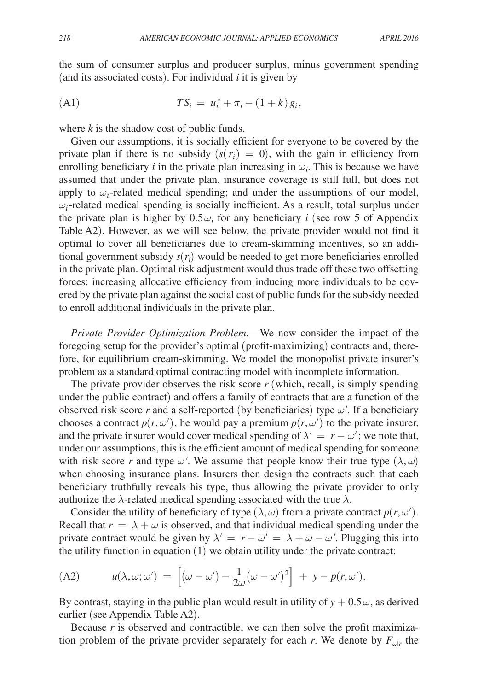the sum of consumer surplus and producer surplus, minus government spending (and its associated costs). For individual *i* it is given by

(A1) 
$$
TS_i = u_i^* + \pi_i - (1 + k)g_i,
$$

where *k* is the shadow cost of public funds.

Given our assumptions, it is socially efficient for everyone to be covered by the private plan if there is no subsidy  $(s(r_i) = 0)$ , with the gain in efficiency from enrolling beneficiary  $i$  in the private plan increasing in  $\omega_i$ . This is because we have assumed that under the private plan, insurance coverage is still full, but does not apply to  $\omega_i$ -related medical spending; and under the assumptions of our model,  $\omega_i$ -related medical spending is socially inefficient. As a result, total surplus under the private plan is higher by  $0.5\omega_i$  for any beneficiary *i* (see row 5 of Appendix Table A2). However, as we will see below, the private provider would not find it optimal to cover all beneficiaries due to cream-skimming incentives, so an additional government subsidy  $s(r_i)$  would be needed to get more beneficiaries enrolled in the private plan. Optimal risk adjustment would thus trade off these two offsetting forces: increasing allocative efficiency from inducing more individuals to be covered by the private plan against the social cost of public funds for the subsidy needed to enroll additional individuals in the private plan.

*Private Provider Optimization Problem*.—We now consider the impact of the foregoing setup for the provider's optimal (profit-maximizing) contracts and, therefore, for equilibrium cream-skimming. We model the monopolist private insurer's problem as a standard optimal contracting model with incomplete information.

The private provider observes the risk score *r* (which, recall, is simply spending under the public contract) and offers a family of contracts that are a function of the observed risk score  $r$  and a self-reported (by beneficiaries) type  $\omega'$ . If a beneficiary chooses a contract  $p(r, \omega')$ , he would pay a premium  $p(r, \omega')$  to the private insurer, and the private insurer would cover medical spending of  $\lambda' = r - \omega'$ ; we note that, under our assumptions, this is the efficient amount of medical spending for someone with risk score *r* and type  $\omega'$ . We assume that people know their true type  $(\lambda, \omega)$ when choosing insurance plans. Insurers then design the contracts such that each beneficiary truthfully reveals his type, thus allowing the private provider to only authorize the  $\lambda$ -related medical spending associated with the true  $\lambda$ .

Consider the utility of beneficiary of type  $(\lambda, \omega)$  from a private contract  $p(r, \omega')$ . Recall that  $r = \lambda + \omega$  is observed, and that individual medical spending under the private contract would be given by  $\lambda' = r - \omega' = \lambda + \omega - \omega'$ . Plugging this into the utility function in equation (1) we obtain utility under the private contract:

(A2) 
$$
u(\lambda, \omega; \omega') = \left[ (\omega - \omega') - \frac{1}{2\omega} (\omega - \omega')^2 \right] + y - p(r, \omega').
$$

By contrast, staying in the public plan would result in utility of  $y + 0.5\omega$ , as derived earlier (see Appendix Table A2).

Because *r* is observed and contractible, we can then solve the profit maximization problem of the private provider separately for each *r*. We denote by  $F_{\omega|r}$  the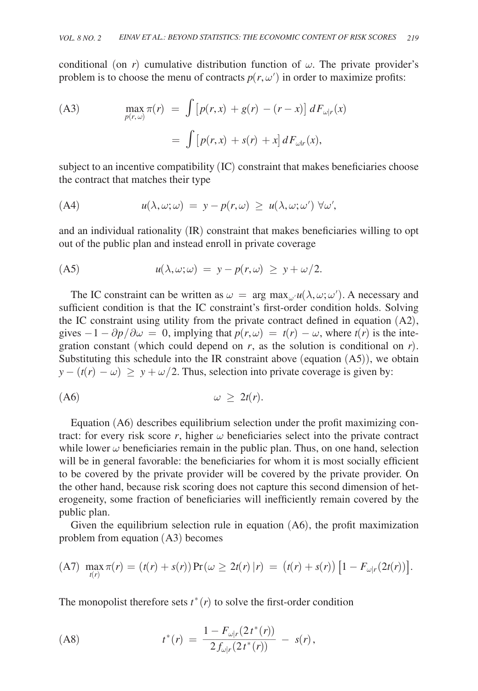conditional (on *r*) cumulative distribution function of  $\omega$ . The private provider's problem is to choose the menu of contracts  $p(r, \omega')$  in order to maximize profits:

(A3)

\n
$$
\max_{p(r,\omega)} \pi(r) = \int \left[ p(r,x) + g(r) - (r - x) \right] dF_{\omega|r}(x)
$$
\n
$$
= \int \left[ p(r,x) + s(r) + x \right] dF_{\omega|r}(x),
$$

subject to an incentive compatibility (IC) constraint that makes beneficiaries choose the contract that matches their type

(A4) 
$$
u(\lambda, \omega; \omega) = y - p(r, \omega) \geq u(\lambda, \omega; \omega') \ \forall \omega',
$$

and an individual rationality (IR) constraint that makes beneficiaries willing to opt out of the public plan and instead enroll in private coverage

(A5) 
$$
u(\lambda, \omega; \omega) = y - p(r, \omega) \geq y + \omega/2.
$$

The IC constraint can be written as  $\omega = \arg \max_{\omega} u(\lambda, \omega; \omega')$ . A necessary and sufficient condition is that the IC constraint's first-order condition holds. Solving the IC constraint using utility from the private contract defined in equation (A2), gives  $-1 - \frac{\partial p}{\partial \omega} = 0$ , implying that  $p(r, \omega) = t(r) - \omega$ , where  $t(r)$  is the integration constant (which could depend on  $r$ , as the solution is conditional on  $r$ ). Substituting this schedule into the IR constraint above (equation (A5)), we obtain  $y - (t(r) - \omega) \ge y + \omega/2$ . Thus, selection into private coverage is given by:

$$
\omega \geq 2t(r).
$$

Equation (A6) describes equilibrium selection under the profit maximizing contract: for every risk score  $r$ , higher  $\omega$  beneficiaries select into the private contract while lower  $\omega$  beneficiaries remain in the public plan. Thus, on one hand, selection will be in general favorable: the beneficiaries for whom it is most socially efficient to be covered by the private provider will be covered by the private provider. On the other hand, because risk scoring does not capture this second dimension of heterogeneity, some fraction of beneficiaries will inefficiently remain covered by the public plan.

Given the equilibrium selection rule in equation (A6), the profit maximization problem from equation (A3) becomes

(A7) 
$$
\max_{t(r)} \pi(r) = (t(r) + s(r)) \Pr(\omega \ge 2t(r) | r) = (t(r) + s(r)) [1 - F_{\omega|r}(2t(r))].
$$

The monopolist therefore sets  $t^*(r)$  to solve the first-order condition

(A8) 
$$
t^{*}(r) = \frac{1 - F_{\omega|r}(2t^{*}(r))}{2f_{\omega|r}(2t^{*}(r))} - s(r),
$$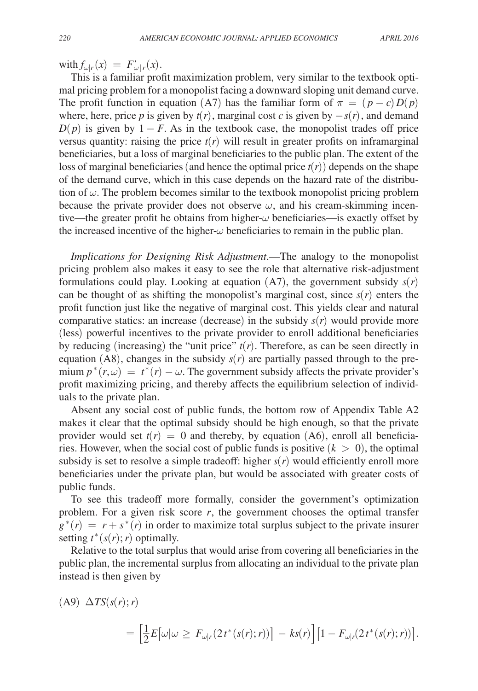with  $f_{\omega|r}(x) = F'_{\omega|r}(x)$ .

This is a familiar profit maximization problem, very similar to the textbook optimal pricing problem for a monopolist facing a downward sloping unit demand curve. The profit function in equation (A7) has the familiar form of  $\pi = (p - c)D(p)$ where, here, price *p* is given by  $t(r)$ , marginal cost *c* is given by  $-s(r)$ , and demand  $D(p)$  is given by 1 − *F*. As in the textbook case, the monopolist trades off price versus quantity: raising the price  $t(r)$  will result in greater profits on inframarginal beneficiaries, but a loss of marginal beneficiaries to the public plan. The extent of the loss of marginal beneficiaries (and hence the optimal price  $t(r)$ ) depends on the shape of the demand curve, which in this case depends on the hazard rate of the distribution of  $\omega$ . The problem becomes similar to the textbook monopolist pricing problem because the private provider does not observe  $\omega$ , and his cream-skimming incentive—the greater profit he obtains from higher- $\omega$  beneficiaries—is exactly offset by the increased incentive of the higher- $\omega$  beneficiaries to remain in the public plan.

*Implications for Designing Risk Adjustment*.—The analogy to the monopolist pricing problem also makes it easy to see the role that alternative risk-adjustment formulations could play. Looking at equation  $(A7)$ , the government subsidy  $s(r)$ can be thought of as shifting the monopolist's marginal cost, since  $s(r)$  enters the profit function just like the negative of marginal cost. This yields clear and natural comparative statics: an increase (decrease) in the subsidy  $s(r)$  would provide more (less) powerful incentives to the private provider to enroll additional beneficiaries by reducing (increasing) the "unit price"  $t(r)$ . Therefore, as can be seen directly in equation  $(AB)$ , changes in the subsidy  $s(r)$  are partially passed through to the premium  $p^*(r, \omega) = t^*(r) - \omega$ . The government subsidy affects the private provider's profit maximizing pricing, and thereby affects the equilibrium selection of individuals to the private plan.

Absent any social cost of public funds, the bottom row of Appendix Table A2 makes it clear that the optimal subsidy should be high enough, so that the private provider would set  $t(r) = 0$  and thereby, by equation (A6), enroll all beneficiaries. However, when the social cost of public funds is positive  $(k > 0)$ , the optimal subsidy is set to resolve a simple tradeoff: higher  $s(r)$  would efficiently enroll more beneficiaries under the private plan, but would be associated with greater costs of public funds.

To see this tradeoff more formally, consider the government's optimization problem. For a given risk score  $r$ , the government chooses the optimal transfer  $g^*(r) = r + s^*(r)$  in order to maximize total surplus subject to the private insurer setting  $t^*(s(r); r)$  optimally.

Relative to the total surplus that would arise from covering all beneficiaries in the public plan, the incremental surplus from allocating an individual to the private plan instead is then given by

(A9)  $\Delta TS(s(r); r)$ 

$$
= \Big[\frac{1}{2}E\big[\omega|\omega\geq F_{\omega|r}(2t^*(s(r);r))\big]\,-ks(r)\Big]\big[1-F_{\omega|r}(2t^*(s(r);r))\big].
$$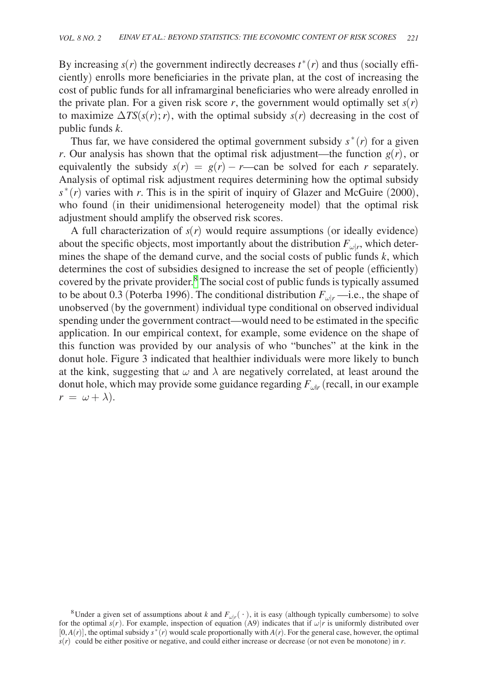By increasing  $s(r)$  the government indirectly decreases  $t^*(r)$  and thus (socially efficiently) enrolls more beneficiaries in the private plan, at the cost of increasing the cost of public funds for all inframarginal beneficiaries who were already enrolled in the private plan. For a given risk score  $r$ , the government would optimally set  $s(r)$ to maximize  $\Delta TS(s(r); r)$ , with the optimal subsidy  $s(r)$  decreasing in the cost of public funds *k*.

Thus far, we have considered the optimal government subsidy  $s^*(r)$  for a given *r*. Our analysis has shown that the optimal risk adjustment—the function  $g(r)$ , or equivalently the subsidy  $s(r) = g(r) - r$ —can be solved for each *r* separately. Analysis of optimal risk adjustment requires determining how the optimal subsidy  $s^*(r)$  varies with *r*. This is in the spirit of inquiry of Glazer and McGuire (2000), who found (in their unidimensional heterogeneity model) that the optimal risk adjustment should amplify the observed risk scores.

A full characterization of  $s(r)$  would require assumptions (or ideally evidence) about the specific objects, most importantly about the distribution  $F_{\omega|r}$ , which determines the shape of the demand curve, and the social costs of public funds *k*, which determines the cost of subsidies designed to increase the set of people (efficiently) covered by the private provider.<sup>[8](#page-26-0)</sup> The social cost of public funds is typically assumed to be about 0.3 (Poterba 1996). The conditional distribution  $F_{\omega|r}$  —i.e., the shape of unobserved (by the government) individual type conditional on observed individual spending under the government contract—would need to be estimated in the specific application. In our empirical context, for example, some evidence on the shape of this function was provided by our analysis of who "bunches" at the kink in the donut hole. Figure 3 indicated that healthier individuals were more likely to bunch at the kink, suggesting that  $\omega$  and  $\lambda$  are negatively correlated, at least around the donut hole, which may provide some guidance regarding  $F_{\mu\nu}$  (recall, in our example  $r = \omega + \lambda$ ).

<span id="page-26-0"></span><sup>&</sup>lt;sup>8</sup>Under a given set of assumptions about *k* and  $F_{\omega|r}( \cdot )$ , it is easy (although typically cumbersome) to solve for the optimal  $s(r)$ . For example, inspection of equation (A9) indicates that if  $\omega |r$  is uniformly distributed over  $[0, A(r)]$ , the optimal subsidy  $s^*(r)$  would scale proportionally with  $A(r)$ . For the general case, however, the optimal *s*(*r*) could be either positive or negative, and could either increase or decrease (or not even be monotone) in *r*.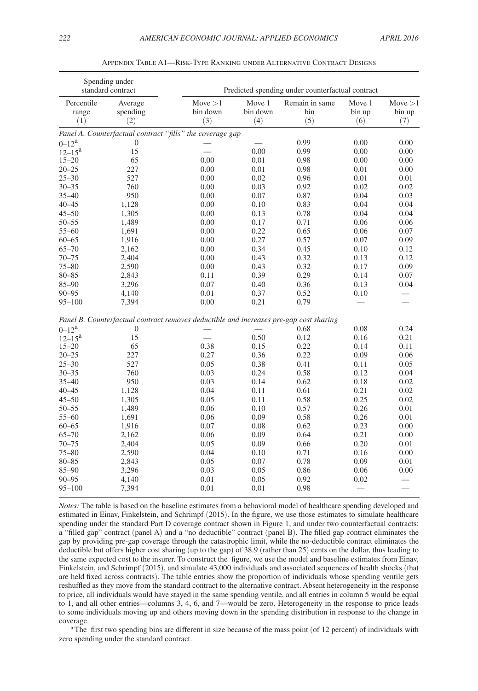<span id="page-27-0"></span>

| standard contract          |                                                                                        |                             |                           | Predicted spending under counterfactual contract |                          |                            |
|----------------------------|----------------------------------------------------------------------------------------|-----------------------------|---------------------------|--------------------------------------------------|--------------------------|----------------------------|
| Percentile<br>range<br>(1) | Average<br>spending<br>(2)                                                             | Move > 1<br>bin down<br>(3) | Move 1<br>bin down<br>(4) | Remain in same<br>bin<br>(5)                     | Move 1<br>bin up<br>(6)  | Move $>1$<br>bin up<br>(7) |
|                            | Panel A. Counterfactual contract "fills" the coverage gap                              |                             |                           |                                                  |                          |                            |
| $0 - 12^a$                 | $\overline{0}$                                                                         |                             |                           | 0.99                                             | 0.00                     | 0.00                       |
| $12 - 15^a$                | 15                                                                                     |                             | 0.00                      | 0.99                                             | 0.00                     | 0.00                       |
| $15 - 20$                  | 65                                                                                     | 0.00                        | 0.01                      | 0.98                                             | 0.00                     | 0.00                       |
| $20 - 25$                  | 227                                                                                    | 0.00                        | 0.01                      | 0.98                                             | 0.01                     | 0.00                       |
| $25 - 30$                  | 527                                                                                    | 0.00                        | 0.02                      | 0.96                                             | 0.01                     | 0.01                       |
| $30 - 35$                  | 760                                                                                    | 0.00                        | 0.03                      | 0.92                                             | 0.02                     | 0.02                       |
| $35 - 40$                  | 950                                                                                    | 0.00                        | 0.07                      | 0.87                                             | 0.04                     | 0.03                       |
| $40 - 45$                  | 1,128                                                                                  | 0.00                        | 0.10                      | 0.83                                             | 0.04                     | 0.04                       |
| $45 - 50$                  | 1,305                                                                                  | 0.00                        | 0.13                      | 0.78                                             | 0.04                     | 0.04                       |
| $50 - 55$                  | 1,489                                                                                  | 0.00                        | 0.17                      | 0.71                                             | 0.06                     | 0.06                       |
| $55 - 60$                  | 1,691                                                                                  | 0.00                        | 0.22                      | 0.65                                             | 0.06                     | 0.07                       |
| $60 - 65$                  | 1,916                                                                                  | 0.00                        | 0.27                      | 0.57                                             | 0.07                     | 0.09                       |
| $65 - 70$                  | 2,162                                                                                  | 0.00                        | 0.34                      | 0.45                                             | 0.10                     | 0.12                       |
| $70 - 75$                  | 2,404                                                                                  | 0.00                        | 0.43                      | 0.32                                             | 0.13                     | 0.12                       |
| $75 - 80$                  | 2,590                                                                                  | 0.00                        | 0.43                      | 0.32                                             | 0.17                     | 0.09                       |
| $80 - 85$                  | 2,843                                                                                  | 0.11                        | 0.39                      | 0.29                                             | 0.14                     | 0.07                       |
| $85 - 90$                  | 3,296                                                                                  | 0.07                        | 0.40                      | 0.36                                             | 0.13                     | 0.04                       |
| $90 - 95$                  | 4,140                                                                                  | 0.01                        | 0.37                      | 0.52                                             | 0.10                     | $\overline{\phantom{0}}$   |
| $95 - 100$                 | 7,394                                                                                  | 0.00                        | 0.21                      | 0.79                                             |                          |                            |
|                            | Panel B. Counterfactual contract removes deductible and increases pre-gap cost sharing |                             |                           |                                                  |                          |                            |
| $0 - 12^a$                 | $\boldsymbol{0}$                                                                       |                             |                           | 0.68                                             | 0.08                     | 0.24                       |
| $12 - 15^{\rm a}$          | 15                                                                                     | $\overline{\phantom{a}}$    | 0.50                      | 0.12                                             | 0.16                     | 0.21                       |
| $15 - 20$                  | 65                                                                                     | 0.38                        | 0.15                      | 0.22                                             | 0.14                     | 0.11                       |
| $20 - 25$                  | 227                                                                                    | 0.27                        | 0.36                      | 0.22                                             | 0.09                     | 0.06                       |
| $25 - 30$                  | 527                                                                                    | 0.05                        | 0.38                      | 0.41                                             | 0.11                     | 0.05                       |
| $30 - 35$                  | 760                                                                                    | 0.03                        | 0.24                      | 0.58                                             | 0.12                     | 0.04                       |
| $35 - 40$                  | 950                                                                                    | 0.03                        | 0.14                      | 0.62                                             | 0.18                     | 0.02                       |
| $40 - 45$                  | 1,128                                                                                  | 0.04                        | 0.11                      | 0.61                                             | 0.21                     | 0.02                       |
| $45 - 50$                  | 1,305                                                                                  | 0.05                        | 0.11                      | 0.58                                             | 0.25                     | 0.02                       |
| $50 - 55$                  | 1,489                                                                                  | 0.06                        | 0.10                      | 0.57                                             | 0.26                     | 0.01                       |
| $55 - 60$                  | 1,691                                                                                  | 0.06                        | 0.09                      | 0.58                                             | 0.26                     | 0.01                       |
| $60 - 65$                  | 1,916                                                                                  | 0.07                        | 0.08                      | 0.62                                             | 0.23                     | 0.00                       |
| $65 - 70$                  | 2,162                                                                                  | 0.06                        | 0.09                      | 0.64                                             | 0.21                     | 0.00                       |
| $70 - 75$                  | 2,404                                                                                  | 0.05                        | 0.09                      | 0.66                                             | 0.20                     | 0.01                       |
| $75 - 80$                  | 2,590                                                                                  | 0.04                        | 0.10                      | 0.71                                             | 0.16                     | 0.00                       |
| $80 - 85$                  | 2,843                                                                                  | 0.05                        | 0.07                      | 0.78                                             | 0.09                     | 0.01                       |
| $85 - 90$                  | 3,296                                                                                  | 0.03                        | 0.05                      | 0.86                                             | 0.06                     | 0.00                       |
| $90 - 95$                  | 4,140                                                                                  | 0.01                        | 0.05                      | 0.92                                             | 0.02                     |                            |
| $95 - 100$                 | 7,394                                                                                  | 0.01                        | 0.01                      | 0.98                                             | $\overline{\phantom{0}}$ | $\overline{\phantom{a}}$   |

Appendix Table A1—Risk-Type Ranking under Alternative Contract Designs

*Notes:* The table is based on the baseline estimates from a behavioral model of healthcare spending developed and estimated in Einav, Finkelstein, and Schrimpf (2015). In the figure, we use those estimates to simulate healthcare spending under the standard Part D coverage contract shown in Figure 1, and under two counterfactual contracts: a "filled gap" contract (panel A) and a "no deductible" contract (panel B). The filled gap contract eliminates the gap by providing pre-gap coverage through the catastrophic limit, while the no-deductible contract eliminates the deductible but offers higher cost sharing (up to the gap) of 38.9 (rather than 25) cents on the dollar, thus leading to the same expected cost to the insurer. To construct the figure, we use the model and baseline estimates from Einav, Finkelstein, and Schrimpf (2015), and simulate 43,000 individuals and associated sequences of health shocks (that are held fixed across contracts). The table entries show the proportion of individuals whose spending ventile gets reshuffled as they move from the standard contract to the alternative contract. Absent heterogeneity in the response to price, all individuals would have stayed in the same spending ventile, and all entries in column 5 would be equal to 1, and all other entries—columns 3, 4, 6, and 7—would be zero. Heterogeneity in the response to price leads to some individuals moving up and others moving down in the spending distribution in response to the change in coverage. a The first two spending bins are different in size because of the mass point (of 12 percent) of individuals with

zero spending under the standard contract.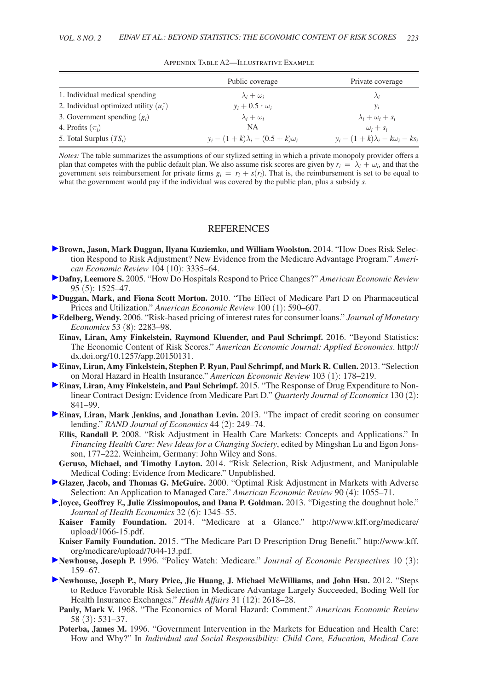<span id="page-28-0"></span>

|                                           | Public coverage                          | Private coverage                             |
|-------------------------------------------|------------------------------------------|----------------------------------------------|
| 1. Individual medical spending            | $\lambda_i + \omega_i$                   | $\lambda_i$                                  |
| 2. Individual optimized utility $(u_i^*)$ | $y_i + 0.5 \cdot \omega_i$               | $v_i$                                        |
| 3. Government spending $(g_i)$            | $\lambda_i + \omega_i$                   | $\lambda_i + \omega_i + s_i$                 |
| 4. Profits $(\pi_i)$                      | <b>NA</b>                                | $\omega_i + s_i$                             |
| 5. Total Surplus $(TS_i)$                 | $y_i - (1+k)\lambda_i - (0.5+k)\omega_i$ | $y_i - (1 + k)\lambda_i - k\omega_i - k s_i$ |

Appendix Table A2—Illustrative Example

*Notes:* The table summarizes the assumptions of our stylized setting in which a private monopoly provider offers a plan that competes with the public default plan. We also assume risk scores are given by  $r_i = \lambda_i + \omega_i$ , and that the government sets reimbursement for private firms  $g_i = r_i + s(r_i)$ . That is, the reimbursement is set to be equal to what the government would pay if the individual was covered by the public plan, plus a subsidy *s*.

#### **REFERENCES**

- **Brown, Jason, Mark Duggan, Ilyana Kuziemko, and William Woolston.** 2014. "How Does Risk Selection Respond to Risk Adjustment? New Evidence from the Medicare Advantage Program." *American Economic Review* 104 (10): 3335–64.
- **Dafny, Leemore S.** 2005. "How Do Hospitals Respond to Price Changes?" *American Economic Review*  95 (5): 1525–47.
- **Duggan, Mark, and Fiona Scott Morton.** 2010. "The Effect of Medicare Part D on Pharmaceutical Prices and Utilization." *American Economic Review* 100 (1): 590–607.
- **Edelberg, Wendy.** 2006. "Risk-based pricing of interest rates for consumer loans." *Journal of Monetary Economics* 53 (8): 2283–98.
- **Einav, Liran, Amy Finkelstein, Raymond Kluender, and Paul Schrimpf.** 2016. "Beyond Statistics: The Economic Content of Risk Scores." *American Economic Journal: Applied Economics*. http:// dx.doi.org/10.1257/app.20150131.
- **Einav, Liran, Amy Finkelstein, Stephen P. Ryan, Paul Schrimpf, and Mark R. Cullen.** 2013. "Selection on Moral Hazard in Health Insurance." *American Economic Review* 103 (1): 178–219.
- **Einav, Liran, Amy Finkelstein, and Paul Schrimpf.** 2015. "The Response of Drug Expenditure to Nonlinear Contract Design: Evidence from Medicare Part D." *Quarterly Journal of Economics* 130 (2): 841–99.
- **Einav, Liran, Mark Jenkins, and Jonathan Levin.** 2013. "The impact of credit scoring on consumer lending." *RAND Journal of Economics* 44 (2): 249–74.
	- **Ellis, Randall P.** 2008. "Risk Adjustment in Health Care Markets: Concepts and Applications." In *Financing Health Care: New Ideas for a Changing Society*, edited by Mingshan Lu and Egon Jonsson, 177–222. Weinheim, Germany: John Wiley and Sons.
- **Geruso, Michael, and Timothy Layton.** 2014. "Risk Selection, Risk Adjustment, and Manipulable Medical Coding: Evidence from Medicare." Unpublished.
- **Glazer, Jacob, and Thomas G. McGuire.** 2000. "Optimal Risk Adjustment in Markets with Adverse Selection: An Application to Managed Care." *American Economic Review* 90 (4): 1055–71.
- **Joyce, Geoffrey F., Julie Zissimopoulos, and Dana P. Goldman.** 2013. "Digesting the doughnut hole." *Journal of Health Economics* 32 (6): 1345–55.
- **Kaiser Family Foundation.** [2014. "Medicare at a Glance." http://www.kff.org/medicare/](http://www.kff.org/medicare/upload/1066-15.pdf) upload/1066-15.pdf.
- **Kaiser Family Foundation.** [2015. "The Medicare Part D Prescription Drug Benefit." http://www.kff.](http://www.kff.org/medicare/upload/7044-13.pdf) org/medicare/upload/7044-13.pdf.
- **Newhouse, Joseph P.** 1996. "Policy Watch: Medicare." *Journal of Economic Perspectives* 10 (3): 159–67.
- **Newhouse, Joseph P., Mary Price, Jie Huang, J. Michael McWilliams, and John Hsu.** 2012. "Steps to Reduce Favorable Risk Selection in Medicare Advantage Largely Succeeded, Boding Well for Health Insurance Exchanges." *Health Affairs* 31 (12): 2618–28.
	- **Pauly, Mark V.** 1968. "The Economics of Moral Hazard: Comment." *American Economic Review* 58 (3): 531–37.
	- **Poterba, James M.** 1996. "Government Intervention in the Markets for Education and Health Care: How and Why?" In *Individual and Social Responsibility: Child Care, Education, Medical Care*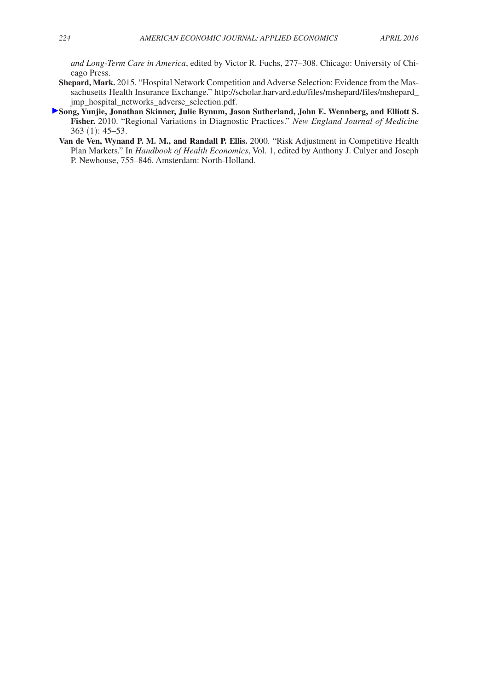*and Long-Term Care in America*, edited by Victor R. Fuchs, 277–308. Chicago: University of Chicago Press.

- **Shepard, Mark.** 2015. "Hospital Network Competition and Adverse Selection: Evidence from the Mas[sachusetts Health Insurance Exchange." http://scholar.harvard.edu/files/mshepard/files/mshepard\\_](http://scholar.harvard.edu/files/mshepard/files/mshepard_jmp_hospital_networks_adverse_selection.pdf) jmp\_hospital\_networks\_adverse\_selection.pdf.
- **Song, Yunjie, Jonathan Skinner, Julie Bynum, Jason Sutherland, John E. Wennberg, and Elliott S. Fisher.** 2010. "Regional Variations in Diagnostic Practices." *New England Journal of Medicine*  363 (1): 45–53.
	- **Van de Ven, Wynand P. M. M., and Randall P. Ellis.** 2000. "Risk Adjustment in Competitive Health Plan Markets." In *Handbook of Health Economics*, Vol. 1, edited by Anthony J. Culyer and Joseph P. Newhouse, 755–846. Amsterdam: North-Holland.